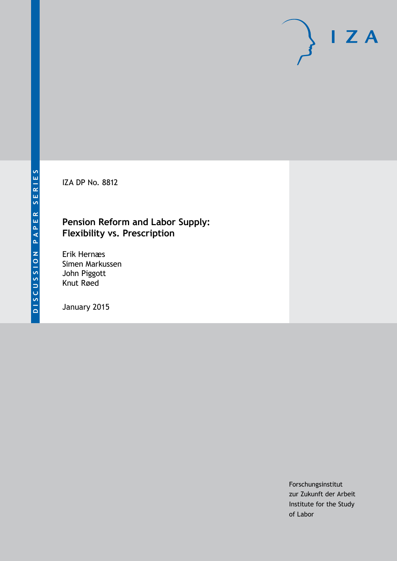IZA DP No. 8812

# **Pension Reform and Labor Supply: Flexibility vs. Prescription**

Erik Hernæs Simen Markussen John Piggott Knut Røed

January 2015

Forschungsinstitut zur Zukunft der Arbeit Institute for the Study of Labor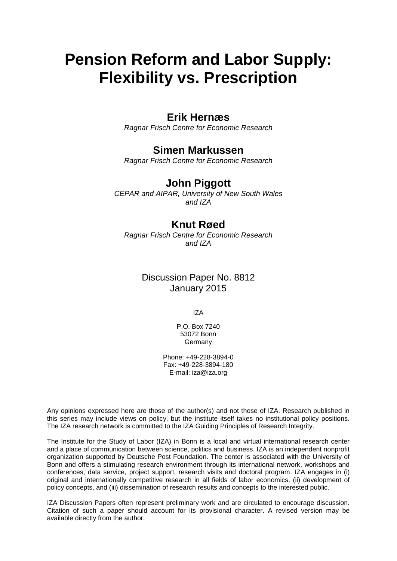# **Pension Reform and Labor Supply: Flexibility vs. Prescription**

## **Erik Hernæs**

*Ragnar Frisch Centre for Economic Research*

## **Simen Markussen**

*Ragnar Frisch Centre for Economic Research*

# **John Piggott**

*CEPAR and AIPAR, University of New South Wales and IZA*

## **Knut Røed**

*Ragnar Frisch Centre for Economic Research and IZA*

## Discussion Paper No. 8812 January 2015

IZA

P.O. Box 7240 53072 Bonn Germany

Phone: +49-228-3894-0 Fax: +49-228-3894-180 E-mail: [iza@iza.org](mailto:iza@iza.org)

Any opinions expressed here are those of the author(s) and not those of IZA. Research published in this series may include views on policy, but the institute itself takes no institutional policy positions. The IZA research network is committed to the IZA Guiding Principles of Research Integrity.

The Institute for the Study of Labor (IZA) in Bonn is a local and virtual international research center and a place of communication between science, politics and business. IZA is an independent nonprofit organization supported by Deutsche Post Foundation. The center is associated with the University of Bonn and offers a stimulating research environment through its international network, workshops and conferences, data service, project support, research visits and doctoral program. IZA engages in (i) original and internationally competitive research in all fields of labor economics, (ii) development of policy concepts, and (iii) dissemination of research results and concepts to the interested public.

<span id="page-1-0"></span>IZA Discussion Papers often represent preliminary work and are circulated to encourage discussion. Citation of such a paper should account for its provisional character. A revised version may be available directly from the author.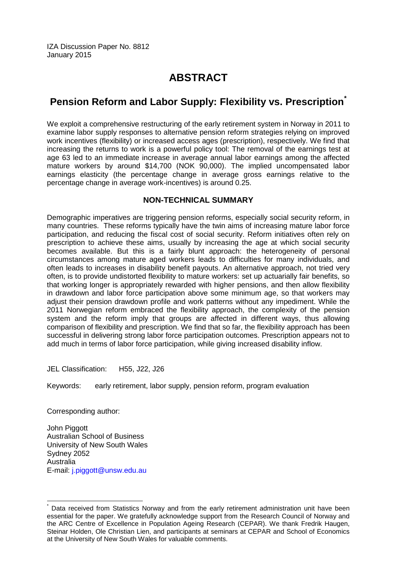IZA Discussion Paper No. 8812 January 2015

# **ABSTRACT**

# **Pension Reform and Labor Supply: Flexibility vs. Prescription[\\*](#page-1-0)**

We exploit a comprehensive restructuring of the early retirement system in Norway in 2011 to examine labor supply responses to alternative pension reform strategies relying on improved work incentives (flexibility) or increased access ages (prescription), respectively. We find that increasing the returns to work is a powerful policy tool: The removal of the earnings test at age 63 led to an immediate increase in average annual labor earnings among the affected mature workers by around \$14,700 (NOK 90,000). The implied uncompensated labor earnings elasticity (the percentage change in average gross earnings relative to the percentage change in average work-incentives) is around 0.25.

## **NON-TECHNICAL SUMMARY**

Demographic imperatives are triggering pension reforms, especially social security reform, in many countries. These reforms typically have the twin aims of increasing mature labor force participation, and reducing the fiscal cost of social security. Reform initiatives often rely on prescription to achieve these aims, usually by increasing the age at which social security becomes available. But this is a fairly blunt approach: the heterogeneity of personal circumstances among mature aged workers leads to difficulties for many individuals, and often leads to increases in disability benefit payouts. An alternative approach, not tried very often, is to provide undistorted flexibility to mature workers: set up actuarially fair benefits, so that working longer is appropriately rewarded with higher pensions, and then allow flexibility in drawdown and labor force participation above some minimum age, so that workers may adjust their pension drawdown profile and work patterns without any impediment. While the 2011 Norwegian reform embraced the flexibility approach, the complexity of the pension system and the reform imply that groups are affected in different ways, thus allowing comparison of flexibility and prescription. We find that so far, the flexibility approach has been successful in delivering strong labor force participation outcomes. Prescription appears not to add much in terms of labor force participation, while giving increased disability inflow.

JEL Classification: H55, J22, J26

Keywords: early retirement, labor supply, pension reform, program evaluation

Corresponding author:

John Piggott Australian School of Business University of New South Wales Sydney 2052 Australia E-mail: [j.piggott@unsw.edu.au](mailto:j.piggott@unsw.edu.au)

Data received from Statistics Norway and from the early retirement administration unit have been essential for the paper. We gratefully acknowledge support from the Research Council of Norway and the ARC Centre of Excellence in Population Ageing Research (CEPAR). We thank Fredrik Haugen, Steinar Holden, Ole Christian Lien, and participants at seminars at CEPAR and School of Economics at the University of New South Wales for valuable comments.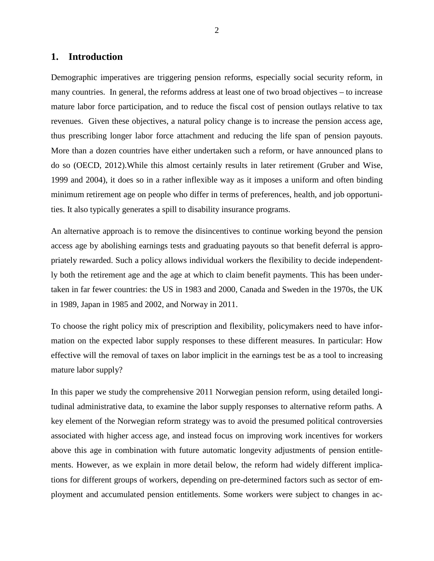## **1. Introduction**

Demographic imperatives are triggering pension reforms, especially social security reform, in many countries. In general, the reforms address at least one of two broad objectives – to increase mature labor force participation, and to reduce the fiscal cost of pension outlays relative to tax revenues. Given these objectives, a natural policy change is to increase the pension access age, thus prescribing longer labor force attachment and reducing the life span of pension payouts. More than a dozen countries have either undertaken such a reform, or have announced plans to do so (OECD, 2012).While this almost certainly results in later retirement (Gruber and Wise, 1999 and 2004), it does so in a rather inflexible way as it imposes a uniform and often binding minimum retirement age on people who differ in terms of preferences, health, and job opportunities. It also typically generates a spill to disability insurance programs.

An alternative approach is to remove the disincentives to continue working beyond the pension access age by abolishing earnings tests and graduating payouts so that benefit deferral is appropriately rewarded. Such a policy allows individual workers the flexibility to decide independently both the retirement age and the age at which to claim benefit payments. This has been undertaken in far fewer countries: the US in 1983 and 2000, Canada and Sweden in the 1970s, the UK in 1989, Japan in 1985 and 2002, and Norway in 2011.

To choose the right policy mix of prescription and flexibility, policymakers need to have information on the expected labor supply responses to these different measures. In particular: How effective will the removal of taxes on labor implicit in the earnings test be as a tool to increasing mature labor supply?

In this paper we study the comprehensive 2011 Norwegian pension reform, using detailed longitudinal administrative data, to examine the labor supply responses to alternative reform paths. A key element of the Norwegian reform strategy was to avoid the presumed political controversies associated with higher access age, and instead focus on improving work incentives for workers above this age in combination with future automatic longevity adjustments of pension entitlements. However, as we explain in more detail below, the reform had widely different implications for different groups of workers, depending on pre-determined factors such as sector of employment and accumulated pension entitlements. Some workers were subject to changes in ac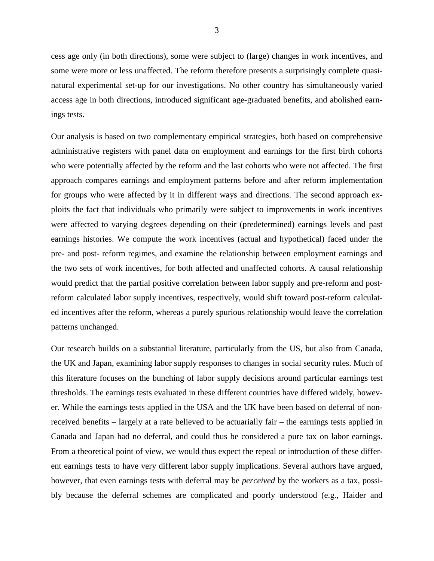cess age only (in both directions), some were subject to (large) changes in work incentives, and some were more or less unaffected. The reform therefore presents a surprisingly complete quasinatural experimental set-up for our investigations. No other country has simultaneously varied access age in both directions, introduced significant age-graduated benefits, and abolished earnings tests.

Our analysis is based on two complementary empirical strategies, both based on comprehensive administrative registers with panel data on employment and earnings for the first birth cohorts who were potentially affected by the reform and the last cohorts who were not affected. The first approach compares earnings and employment patterns before and after reform implementation for groups who were affected by it in different ways and directions. The second approach exploits the fact that individuals who primarily were subject to improvements in work incentives were affected to varying degrees depending on their (predetermined) earnings levels and past earnings histories. We compute the work incentives (actual and hypothetical) faced under the pre- and post- reform regimes, and examine the relationship between employment earnings and the two sets of work incentives, for both affected and unaffected cohorts. A causal relationship would predict that the partial positive correlation between labor supply and pre-reform and postreform calculated labor supply incentives, respectively, would shift toward post-reform calculated incentives after the reform, whereas a purely spurious relationship would leave the correlation patterns unchanged.

Our research builds on a substantial literature, particularly from the US, but also from Canada, the UK and Japan, examining labor supply responses to changes in social security rules. Much of this literature focuses on the bunching of labor supply decisions around particular earnings test thresholds. The earnings tests evaluated in these different countries have differed widely, however. While the earnings tests applied in the USA and the UK have been based on deferral of nonreceived benefits – largely at a rate believed to be actuarially fair – the earnings tests applied in Canada and Japan had no deferral, and could thus be considered a pure tax on labor earnings. From a theoretical point of view, we would thus expect the repeal or introduction of these different earnings tests to have very different labor supply implications. Several authors have argued, however, that even earnings tests with deferral may be *perceived* by the workers as a tax, possibly because the deferral schemes are complicated and poorly understood (e.g., Haider and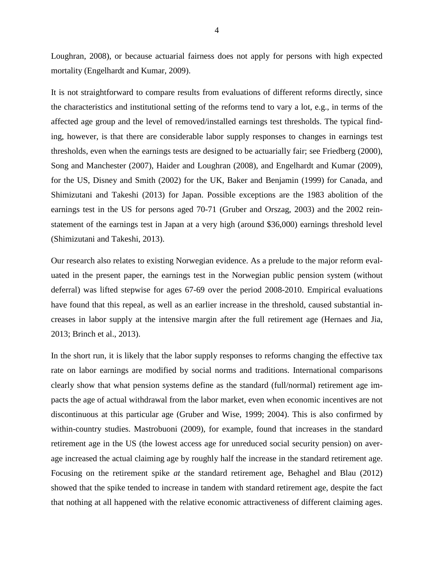Loughran, 2008), or because actuarial fairness does not apply for persons with high expected mortality (Engelhardt and Kumar, 2009).

It is not straightforward to compare results from evaluations of different reforms directly, since the characteristics and institutional setting of the reforms tend to vary a lot, e.g., in terms of the affected age group and the level of removed/installed earnings test thresholds. The typical finding, however, is that there are considerable labor supply responses to changes in earnings test thresholds, even when the earnings tests are designed to be actuarially fair; see Friedberg (2000), Song and Manchester (2007), Haider and Loughran (2008), and Engelhardt and Kumar (2009), for the US, Disney and Smith (2002) for the UK, Baker and Benjamin (1999) for Canada, and Shimizutani and Takeshi (2013) for Japan. Possible exceptions are the 1983 abolition of the earnings test in the US for persons aged 70-71 (Gruber and Orszag, 2003) and the 2002 reinstatement of the earnings test in Japan at a very high (around \$36,000) earnings threshold level (Shimizutani and Takeshi, 2013).

Our research also relates to existing Norwegian evidence. As a prelude to the major reform evaluated in the present paper, the earnings test in the Norwegian public pension system (without deferral) was lifted stepwise for ages 67-69 over the period 2008-2010. Empirical evaluations have found that this repeal, as well as an earlier increase in the threshold, caused substantial increases in labor supply at the intensive margin after the full retirement age (Hernaes and Jia, 2013; Brinch et al., 2013).

In the short run, it is likely that the labor supply responses to reforms changing the effective tax rate on labor earnings are modified by social norms and traditions. International comparisons clearly show that what pension systems define as the standard (full/normal) retirement age impacts the age of actual withdrawal from the labor market, even when economic incentives are not discontinuous at this particular age (Gruber and Wise, 1999; 2004). This is also confirmed by within-country studies. Mastrobuoni (2009), for example, found that increases in the standard retirement age in the US (the lowest access age for unreduced social security pension) on average increased the actual claiming age by roughly half the increase in the standard retirement age. Focusing on the retirement spike *at* the standard retirement age, Behaghel and Blau (2012) showed that the spike tended to increase in tandem with standard retirement age, despite the fact that nothing at all happened with the relative economic attractiveness of different claiming ages.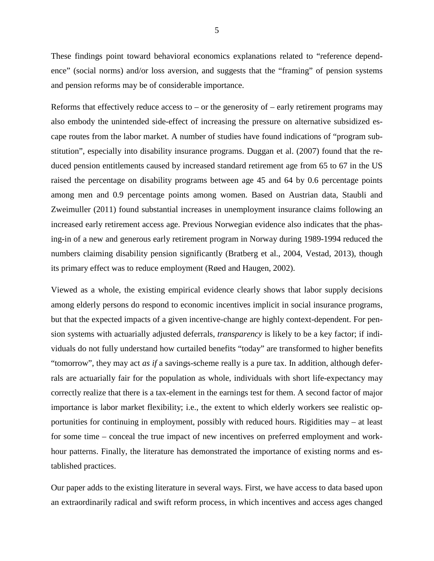These findings point toward behavioral economics explanations related to "reference dependence" (social norms) and/or loss aversion, and suggests that the "framing" of pension systems and pension reforms may be of considerable importance.

Reforms that effectively reduce access to – or the generosity of – early retirement programs may also embody the unintended side-effect of increasing the pressure on alternative subsidized escape routes from the labor market. A number of studies have found indications of "program substitution", especially into disability insurance programs. Duggan et al. (2007) found that the reduced pension entitlements caused by increased standard retirement age from 65 to 67 in the US raised the percentage on disability programs between age 45 and 64 by 0.6 percentage points among men and 0.9 percentage points among women. Based on Austrian data, Staubli and Zweimuller (2011) found substantial increases in unemployment insurance claims following an increased early retirement access age. Previous Norwegian evidence also indicates that the phasing-in of a new and generous early retirement program in Norway during 1989-1994 reduced the numbers claiming disability pension significantly (Bratberg et al., 2004, Vestad, 2013), though its primary effect was to reduce employment (Røed and Haugen, 2002).

Viewed as a whole, the existing empirical evidence clearly shows that labor supply decisions among elderly persons do respond to economic incentives implicit in social insurance programs, but that the expected impacts of a given incentive-change are highly context-dependent. For pension systems with actuarially adjusted deferrals, *transparency* is likely to be a key factor; if individuals do not fully understand how curtailed benefits "today" are transformed to higher benefits "tomorrow", they may act *as if* a savings-scheme really is a pure tax. In addition, although deferrals are actuarially fair for the population as whole, individuals with short life-expectancy may correctly realize that there is a tax-element in the earnings test for them. A second factor of major importance is labor market flexibility; i.e., the extent to which elderly workers see realistic opportunities for continuing in employment, possibly with reduced hours. Rigidities may – at least for some time – conceal the true impact of new incentives on preferred employment and workhour patterns. Finally, the literature has demonstrated the importance of existing norms and established practices.

Our paper adds to the existing literature in several ways. First, we have access to data based upon an extraordinarily radical and swift reform process, in which incentives and access ages changed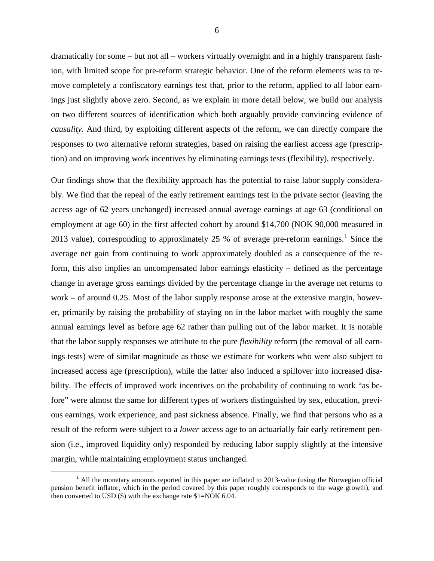dramatically for some – but not all – workers virtually overnight and in a highly transparent fashion, with limited scope for pre-reform strategic behavior. One of the reform elements was to remove completely a confiscatory earnings test that, prior to the reform, applied to all labor earnings just slightly above zero. Second, as we explain in more detail below, we build our analysis on two different sources of identification which both arguably provide convincing evidence of *causality.* And third, by exploiting different aspects of the reform, we can directly compare the responses to two alternative reform strategies, based on raising the earliest access age (prescription) and on improving work incentives by eliminating earnings tests (flexibility), respectively.

Our findings show that the flexibility approach has the potential to raise labor supply considerably. We find that the repeal of the early retirement earnings test in the private sector (leaving the access age of 62 years unchanged) increased annual average earnings at age 63 (conditional on employment at age 60) in the first affected cohort by around \$14,700 (NOK 90,000 measured in 2013 value), corresponding to approximately 25 % of average pre-reform earnings.<sup>1</sup> Since the average net gain from continuing to work approximately doubled as a consequence of the reform, this also implies an uncompensated labor earnings elasticity – defined as the percentage change in average gross earnings divided by the percentage change in the average net returns to work – of around 0.25. Most of the labor supply response arose at the extensive margin, however, primarily by raising the probability of staying on in the labor market with roughly the same annual earnings level as before age 62 rather than pulling out of the labor market. It is notable that the labor supply responses we attribute to the pure *flexibility* reform (the removal of all earnings tests) were of similar magnitude as those we estimate for workers who were also subject to increased access age (prescription), while the latter also induced a spillover into increased disability. The effects of improved work incentives on the probability of continuing to work "as before" were almost the same for different types of workers distinguished by sex, education, previous earnings, work experience, and past sickness absence. Finally, we find that persons who as a result of the reform were subject to a *lower* access age to an actuarially fair early retirement pension (i.e., improved liquidity only) responded by reducing labor supply slightly at the intensive margin, while maintaining employment status unchanged.

<span id="page-7-0"></span> $<sup>1</sup>$  All the monetary amounts reported in this paper are inflated to 2013-value (using the Norwegian official</sup> pension benefit inflator, which in the period covered by this paper roughly corresponds to the wage growth), and then converted to USD (\$) with the exchange rate \$1=NOK 6.04.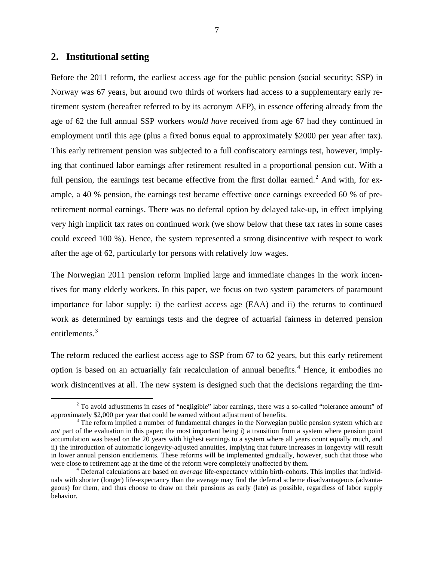## **2. Institutional setting**

Before the 2011 reform, the earliest access age for the public pension (social security; SSP) in Norway was 67 years, but around two thirds of workers had access to a supplementary early retirement system (hereafter referred to by its acronym AFP), in essence offering already from the age of 62 the full annual SSP workers *would have* received from age 67 had they continued in employment until this age (plus a fixed bonus equal to approximately \$2000 per year after tax). This early retirement pension was subjected to a full confiscatory earnings test, however, implying that continued labor earnings after retirement resulted in a proportional pension cut. With a full pension, the earnings test became effective from the first dollar earned.<sup>[2](#page-7-0)</sup> And with, for example, a 40 % pension, the earnings test became effective once earnings exceeded 60 % of preretirement normal earnings. There was no deferral option by delayed take-up, in effect implying very high implicit tax rates on continued work (we show below that these tax rates in some cases could exceed 100 %). Hence, the system represented a strong disincentive with respect to work after the age of 62, particularly for persons with relatively low wages.

The Norwegian 2011 pension reform implied large and immediate changes in the work incentives for many elderly workers. In this paper, we focus on two system parameters of paramount importance for labor supply: i) the earliest access age (EAA) and ii) the returns to continued work as determined by earnings tests and the degree of actuarial fairness in deferred pension entitlements.<sup>[3](#page-8-0)</sup>

The reform reduced the earliest access age to SSP from 67 to 62 years, but this early retirement option is based on an actuarially fair recalculation of annual benefits.<sup>[4](#page-8-1)</sup> Hence, it embodies no work disincentives at all. The new system is designed such that the decisions regarding the tim-

 $2^2$  To avoid adjustments in cases of "negligible" labor earnings, there was a so-called "tolerance amount" of approximately \$2,000 per year that could be earned without adjustment of benefits.

<span id="page-8-0"></span> $3$  The reform implied a number of fundamental changes in the Norwegian public pension system which are *not* part of the evaluation in this paper; the most important being i) a transition from a system where pension point accumulation was based on the 20 years with highest earnings to a system where all years count equally much, and ii) the introduction of automatic longevity-adjusted annuities, implying that future increases in longevity will result in lower annual pension entitlements. These reforms will be implemented gradually, however, such that those who were close to retirement age at the time of the reform were completely unaffected by them.<br><sup>4</sup> Deferral calculations are based on *average* life-expectancy within birth-cohorts. This implies that individ-

<span id="page-8-2"></span><span id="page-8-1"></span>uals with shorter (longer) life-expectancy than the average may find the deferral scheme disadvantageous (advantageous) for them, and thus choose to draw on their pensions as early (late) as possible, regardless of labor supply behavior.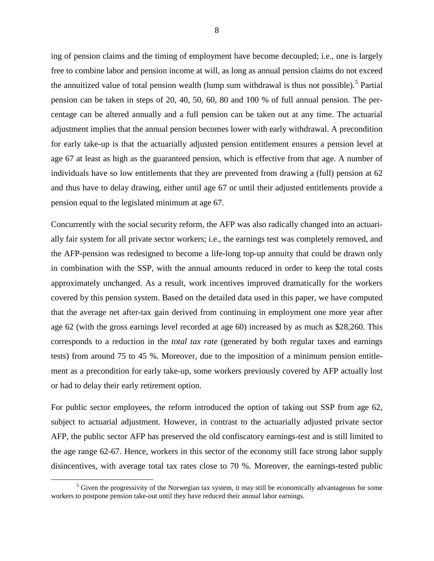ing of pension claims and the timing of employment have become decoupled; i.e., one is largely free to combine labor and pension income at will, as long as annual pension claims do not exceed the annuitized value of total pension wealth (lump sum withdrawal is thus not possible).<sup>[5](#page-8-2)</sup> Partial pension can be taken in steps of 20, 40, 50, 60, 80 and 100 % of full annual pension. The percentage can be altered annually and a full pension can be taken out at any time. The actuarial adjustment implies that the annual pension becomes lower with early withdrawal. A precondition for early take-up is that the actuarially adjusted pension entitlement ensures a pension level at age 67 at least as high as the guaranteed pension, which is effective from that age. A number of individuals have so low entitlements that they are prevented from drawing a (full) pension at 62 and thus have to delay drawing, either until age 67 or until their adjusted entitlements provide a pension equal to the legislated minimum at age 67.

Concurrently with the social security reform, the AFP was also radically changed into an actuarially fair system for all private sector workers; i.e., the earnings test was completely removed, and the AFP-pension was redesigned to become a life-long top-up annuity that could be drawn only in combination with the SSP, with the annual amounts reduced in order to keep the total costs approximately unchanged. As a result, work incentives improved dramatically for the workers covered by this pension system. Based on the detailed data used in this paper, we have computed that the average net after-tax gain derived from continuing in employment one more year after age 62 (with the gross earnings level recorded at age 60) increased by as much as \$28,260. This corresponds to a reduction in the *total tax rate* (generated by both regular taxes and earnings tests) from around 75 to 45 %. Moreover, due to the imposition of a minimum pension entitlement as a precondition for early take-up, some workers previously covered by AFP actually lost or had to delay their early retirement option.

For public sector employees, the reform introduced the option of taking out SSP from age 62, subject to actuarial adjustment. However, in contrast to the actuarially adjusted private sector AFP, the public sector AFP has preserved the old confiscatory earnings-test and is still limited to the age range 62-67. Hence, workers in this sector of the economy still face strong labor supply disincentives, with average total tax rates close to 70 %. Moreover, the earnings-tested public

<span id="page-9-0"></span> $<sup>5</sup>$  Given the progressivity of the Norwegian tax system, it may still be economically advantageous for some</sup> workers to postpone pension take-out until they have reduced their annual labor earnings.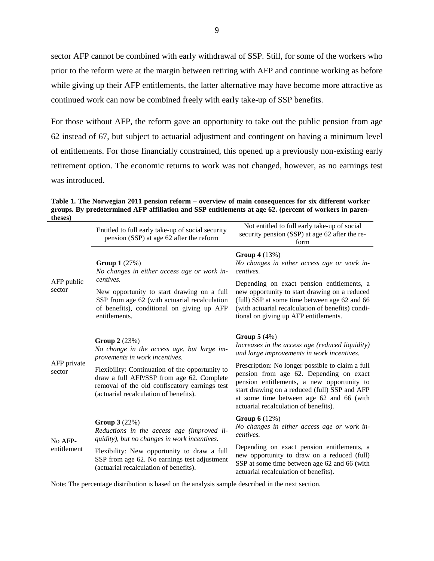sector AFP cannot be combined with early withdrawal of SSP. Still, for some of the workers who prior to the reform were at the margin between retiring with AFP and continue working as before while giving up their AFP entitlements, the latter alternative may have become more attractive as continued work can now be combined freely with early take-up of SSP benefits.

For those without AFP, the reform gave an opportunity to take out the public pension from age 62 instead of 67, but subject to actuarial adjustment and contingent on having a minimum level of entitlements. For those financially constrained, this opened up a previously non-existing early retirement option. The economic returns to work was not changed, however, as no earnings test was introduced.

**Table 1. The Norwegian 2011 pension reform – overview of main consequences for six different worker groups. By predetermined AFP affiliation and SSP entitlements at age 62. (percent of workers in parentheses)**

|                        | Entitled to full early take-up of social security<br>pension (SSP) at age 62 after the reform                                                                                           | Not entitled to full early take-up of social<br>security pension (SSP) at age 62 after the re-<br>form                                                                                                                                                                          |  |  |  |
|------------------------|-----------------------------------------------------------------------------------------------------------------------------------------------------------------------------------------|---------------------------------------------------------------------------------------------------------------------------------------------------------------------------------------------------------------------------------------------------------------------------------|--|--|--|
| AFP public<br>sector   | <b>Group 1</b> $(27%)$<br>No changes in either access age or work in-<br>centives.                                                                                                      | <b>Group 4</b> (13%)<br>No changes in either access age or work in-<br>centives.                                                                                                                                                                                                |  |  |  |
|                        | New opportunity to start drawing on a full<br>SSP from age 62 (with actuarial recalculation<br>of benefits), conditional on giving up AFP<br>entitlements.                              | Depending on exact pension entitlements, a<br>new opportunity to start drawing on a reduced<br>(full) SSP at some time between age 62 and 66<br>(with actuarial recalculation of benefits) condi-<br>tional on giving up AFP entitlements.                                      |  |  |  |
| AFP private<br>sector  | <b>Group 2</b> $(23%)$<br>No change in the access age, but large im-<br>provements in work incentives.                                                                                  | Group $5(4%)$<br>Increases in the access age (reduced liquidity)<br>and large improvements in work incentives.                                                                                                                                                                  |  |  |  |
|                        | Flexibility: Continuation of the opportunity to<br>draw a full AFP/SSP from age 62. Complete<br>removal of the old confiscatory earnings test<br>(actuarial recalculation of benefits). | Prescription: No longer possible to claim a full<br>pension from age 62. Depending on exact<br>pension entitlements, a new opportunity to<br>start drawing on a reduced (full) SSP and AFP<br>at some time between age 62 and 66 (with<br>actuarial recalculation of benefits). |  |  |  |
| No AFP-<br>entitlement | <b>Group 3</b> $(22%)$<br>Reductions in the access age (improved li-<br>quidity), but no changes in work incentives.                                                                    | <b>Group 6</b> (12%)<br>No changes in either access age or work in-<br>centives.                                                                                                                                                                                                |  |  |  |
|                        | Flexibility: New opportunity to draw a full<br>SSP from age 62. No earnings test adjustment<br>(actuarial recalculation of benefits).                                                   | Depending on exact pension entitlements, a<br>new opportunity to draw on a reduced (full)<br>SSP at some time between age 62 and 66 (with<br>actuarial recalculation of benefits).                                                                                              |  |  |  |

Note: The percentage distribution is based on the analysis sample described in the next section.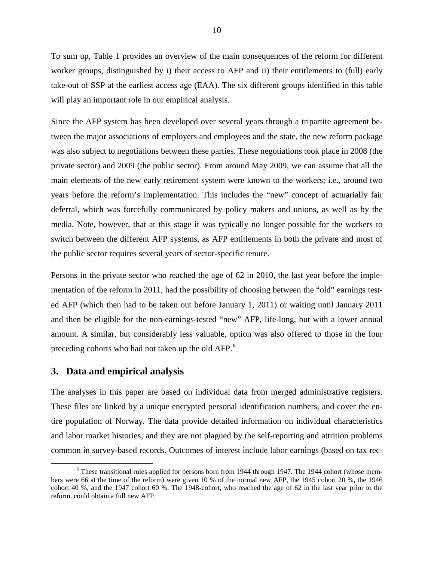To sum up, Table 1 provides an overview of the main consequences of the reform for different worker groups, distinguished by i) their access to AFP and ii) their entitlements to (full) early take-out of SSP at the earliest access age (EAA). The six different groups identified in this table will play an important role in our empirical analysis.

Since the AFP system has been developed over several years through a tripartite agreement between the major associations of employers and employees and the state, the new reform package was also subject to negotiations between these parties. These negotiations took place in 2008 (the private sector) and 2009 (the public sector). From around May 2009, we can assume that all the main elements of the new early retirement system were known to the workers; i.e., around two years before the reform's implementation. This includes the "new" concept of actuarially fair deferral, which was forcefully communicated by policy makers and unions, as well as by the media. Note, however, that at this stage it was typically no longer possible for the workers to switch between the different AFP systems, as AFP entitlements in both the private and most of the public sector requires several years of sector-specific tenure.

Persons in the private sector who reached the age of 62 in 2010, the last year before the implementation of the reform in 2011, had the possibility of choosing between the "old" earnings tested AFP (which then had to be taken out before January 1, 2011) or waiting until January 2011 and then be eligible for the non-earnings-tested "new" AFP, life-long, but with a lower annual amount. A similar, but considerably less valuable, option was also offered to those in the four preceding cohorts who had not taken up the old AFP.<sup>[6](#page-9-0)</sup>

#### **3. Data and empirical analysis**

The analyses in this paper are based on individual data from merged administrative registers. These files are linked by a unique encrypted personal identification numbers, and cover the entire population of Norway. The data provide detailed information on individual characteristics and labor market histories, and they are not plagued by the self-reporting and attrition problems common in survey-based records. Outcomes of interest include labor earnings (based on tax rec-

<span id="page-11-0"></span><sup>&</sup>lt;sup>6</sup> These transitional rules applied for persons born from 1944 through 1947. The 1944 cohort (whose members were 66 at the time of the reform) were given 10 % of the normal new AFP, the 1945 cohort 20 %, the 1946 cohort 40 %, and the 1947 cohort 60 %. The 1948-cohort, who reached the age of 62 in the last year prior to the reform, could obtain a full new AFP.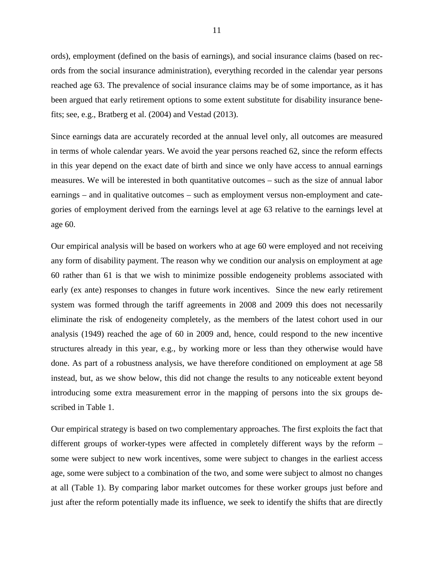ords), employment (defined on the basis of earnings), and social insurance claims (based on records from the social insurance administration), everything recorded in the calendar year persons reached age 63. The prevalence of social insurance claims may be of some importance, as it has been argued that early retirement options to some extent substitute for disability insurance benefits; see, e.g., Bratberg et al. (2004) and Vestad (2013).

Since earnings data are accurately recorded at the annual level only, all outcomes are measured in terms of whole calendar years. We avoid the year persons reached 62, since the reform effects in this year depend on the exact date of birth and since we only have access to annual earnings measures. We will be interested in both quantitative outcomes – such as the size of annual labor earnings – and in qualitative outcomes – such as employment versus non-employment and categories of employment derived from the earnings level at age 63 relative to the earnings level at age 60.

Our empirical analysis will be based on workers who at age 60 were employed and not receiving any form of disability payment. The reason why we condition our analysis on employment at age 60 rather than 61 is that we wish to minimize possible endogeneity problems associated with early (ex ante) responses to changes in future work incentives. Since the new early retirement system was formed through the tariff agreements in 2008 and 2009 this does not necessarily eliminate the risk of endogeneity completely, as the members of the latest cohort used in our analysis (1949) reached the age of 60 in 2009 and, hence, could respond to the new incentive structures already in this year, e.g., by working more or less than they otherwise would have done. As part of a robustness analysis, we have therefore conditioned on employment at age 58 instead, but, as we show below, this did not change the results to any noticeable extent beyond introducing some extra measurement error in the mapping of persons into the six groups described in Table 1.

Our empirical strategy is based on two complementary approaches. The first exploits the fact that different groups of worker-types were affected in completely different ways by the reform – some were subject to new work incentives, some were subject to changes in the earliest access age, some were subject to a combination of the two, and some were subject to almost no changes at all (Table 1). By comparing labor market outcomes for these worker groups just before and just after the reform potentially made its influence, we seek to identify the shifts that are directly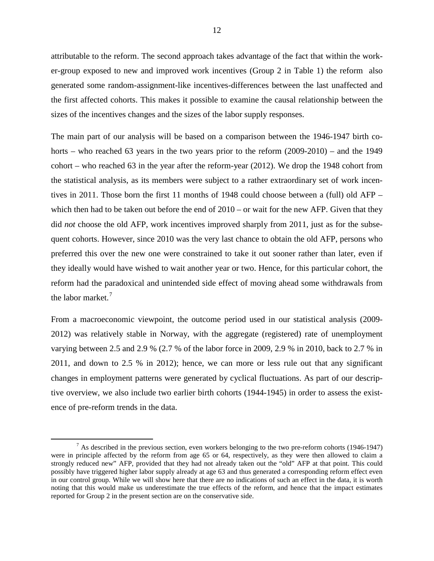attributable to the reform. The second approach takes advantage of the fact that within the worker-group exposed to new and improved work incentives (Group 2 in Table 1) the reform also generated some random-assignment-like incentives-differences between the last unaffected and the first affected cohorts. This makes it possible to examine the causal relationship between the sizes of the incentives changes and the sizes of the labor supply responses.

The main part of our analysis will be based on a comparison between the 1946-1947 birth cohorts – who reached 63 years in the two years prior to the reform (2009-2010) – and the 1949 cohort – who reached 63 in the year after the reform-year (2012). We drop the 1948 cohort from the statistical analysis, as its members were subject to a rather extraordinary set of work incentives in 2011. Those born the first 11 months of 1948 could choose between a (full) old AFP – which then had to be taken out before the end of  $2010 -$  or wait for the new AFP. Given that they did *not* choose the old AFP, work incentives improved sharply from 2011, just as for the subsequent cohorts. However, since 2010 was the very last chance to obtain the old AFP, persons who preferred this over the new one were constrained to take it out sooner rather than later, even if they ideally would have wished to wait another year or two. Hence, for this particular cohort, the reform had the paradoxical and unintended side effect of moving ahead some withdrawals from the labor market.<sup>[7](#page-11-0)</sup>

From a macroeconomic viewpoint, the outcome period used in our statistical analysis (2009- 2012) was relatively stable in Norway, with the aggregate (registered) rate of unemployment varying between 2.5 and 2.9 % (2.7 % of the labor force in 2009, 2.9 % in 2010, back to 2.7 % in 2011, and down to 2.5 % in 2012); hence, we can more or less rule out that any significant changes in employment patterns were generated by cyclical fluctuations. As part of our descriptive overview, we also include two earlier birth cohorts (1944-1945) in order to assess the existence of pre-reform trends in the data.

<span id="page-13-0"></span> $<sup>7</sup>$  As described in the previous section, even workers belonging to the two pre-reform cohorts (1946-1947)</sup> were in principle affected by the reform from age 65 or 64, respectively, as they were then allowed to claim a strongly reduced new" AFP, provided that they had not already taken out the "old" AFP at that point. This could possibly have triggered higher labor supply already at age 63 and thus generated a corresponding reform effect even in our control group. While we will show here that there are no indications of such an effect in the data, it is worth noting that this would make us underestimate the true effects of the reform, and hence that the impact estimates reported for Group 2 in the present section are on the conservative side.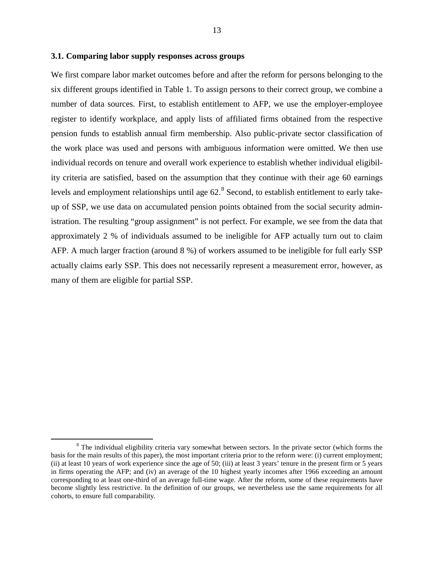#### **3.1. Comparing labor supply responses across groups**

We first compare labor market outcomes before and after the reform for persons belonging to the six different groups identified in Table 1. To assign persons to their correct group, we combine a number of data sources. First, to establish entitlement to AFP, we use the employer-employee register to identify workplace, and apply lists of affiliated firms obtained from the respective pension funds to establish annual firm membership. Also public-private sector classification of the work place was used and persons with ambiguous information were omitted. We then use individual records on tenure and overall work experience to establish whether individual eligibility criteria are satisfied, based on the assumption that they continue with their age 60 earnings levels and employment relationships until age 62.<sup>[8](#page-13-0)</sup> Second, to establish entitlement to early takeup of SSP, we use data on accumulated pension points obtained from the social security administration. The resulting "group assignment" is not perfect. For example, we see from the data that approximately 2 % of individuals assumed to be ineligible for AFP actually turn out to claim AFP. A much larger fraction (around 8 %) of workers assumed to be ineligible for full early SSP actually claims early SSP. This does not necessarily represent a measurement error, however, as many of them are eligible for partial SSP.

<span id="page-14-0"></span><sup>&</sup>lt;sup>8</sup> The individual eligibility criteria vary somewhat between sectors. In the private sector (which forms the basis for the main results of this paper), the most important criteria prior to the reform were: (i) current employment; (ii) at least 10 years of work experience since the age of 50; (iii) at least 3 years' tenure in the present firm or 5 years in firms operating the AFP; and (iv) an average of the 10 highest yearly incomes after 1966 exceeding an amount corresponding to at least one-third of an average full-time wage. After the reform, some of these requirements have become slightly less restrictive. In the definition of our groups, we nevertheless use the same requirements for all cohorts, to ensure full comparability.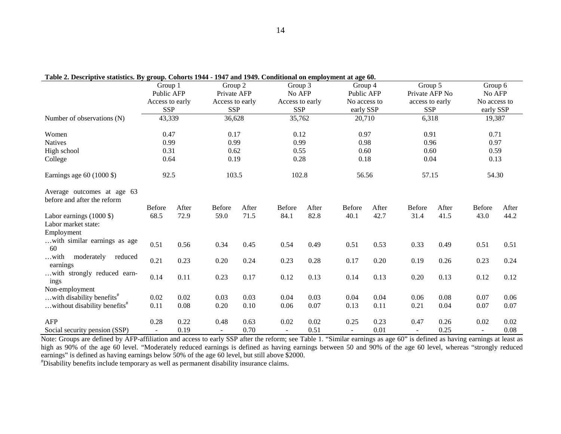| галс 2. Descriptive statistics. Ву дгоар. Conorts 1944 - 1947 ана 1949. Conaitional on employment at age oo. | Group 1         |       | Group 2         |       | Group 3         |       | Group 4       |       | Group 5         |       | Group 6        |       |
|--------------------------------------------------------------------------------------------------------------|-----------------|-------|-----------------|-------|-----------------|-------|---------------|-------|-----------------|-------|----------------|-------|
|                                                                                                              | Public AFP      |       | Private AFP     |       | No AFP          |       | Public AFP    |       | Private AFP No  |       | No AFP         |       |
|                                                                                                              | Access to early |       | Access to early |       | Access to early |       | No access to  |       | access to early |       | No access to   |       |
|                                                                                                              | <b>SSP</b>      |       | <b>SSP</b>      |       | <b>SSP</b>      |       | early SSP     |       | <b>SSP</b>      |       | early SSP      |       |
| Number of observations (N)                                                                                   | 43,339          |       | 36,628          |       | 35,762          |       | 20,710        |       | 6,318           |       | 19,387         |       |
|                                                                                                              |                 |       |                 |       |                 |       |               |       |                 |       |                |       |
| Women                                                                                                        | 0.47            |       | 0.17            |       | 0.12            |       | 0.97          |       | 0.91            |       | 0.71           |       |
| <b>Natives</b>                                                                                               | 0.99            |       | 0.99            |       | 0.99            |       | 0.98          |       | 0.96            |       | 0.97           |       |
| High school                                                                                                  | 0.31            |       | 0.62            |       | 0.55            |       | 0.60          |       | 0.60            |       | 0.59           |       |
| College                                                                                                      | 0.64            |       | 0.19            |       | 0.28            |       | 0.18          |       | 0.04            |       | 0.13           |       |
| Earnings age $60$ (1000 \$)                                                                                  | 92.5            |       | 103.5           |       | 102.8           |       | 56.56         |       | 57.15           |       | 54.30          |       |
| Average outcomes at age 63<br>before and after the reform                                                    |                 |       |                 |       |                 |       |               |       |                 |       |                |       |
|                                                                                                              | <b>Before</b>   | After | <b>Before</b>   | After | <b>Before</b>   | After | <b>Before</b> | After | <b>Before</b>   | After | <b>Before</b>  | After |
| Labor earnings $(1000 \text{ $}8)$                                                                           | 68.5            | 72.9  | 59.0            | 71.5  | 84.1            | 82.8  | 40.1          | 42.7  | 31.4            | 41.5  | 43.0           | 44.2  |
| Labor market state:                                                                                          |                 |       |                 |       |                 |       |               |       |                 |       |                |       |
| Employment                                                                                                   |                 |       |                 |       |                 |       |               |       |                 |       |                |       |
| with similar earnings as age<br>60                                                                           | 0.51            | 0.56  | 0.34            | 0.45  | 0.54            | 0.49  | 0.51          | 0.53  | 0.33            | 0.49  | 0.51           | 0.51  |
| moderately<br>reduced<br>with<br>earnings                                                                    | 0.21            | 0.23  | 0.20            | 0.24  | 0.23            | 0.28  | 0.17          | 0.20  | 0.19            | 0.26  | 0.23           | 0.24  |
| with strongly reduced earn-<br>ings                                                                          | 0.14            | 0.11  | 0.23            | 0.17  | 0.12            | 0.13  | 0.14          | 0.13  | 0.20            | 0.13  | 0.12           | 0.12  |
| Non-employment                                                                                               |                 |       |                 |       |                 |       |               |       |                 |       |                |       |
| with disability benefits <sup>#</sup>                                                                        | 0.02            | 0.02  | 0.03            | 0.03  | 0.04            | 0.03  | 0.04          | 0.04  | 0.06            | 0.08  | 0.07           | 0.06  |
| without disability benefits <sup>#</sup>                                                                     | 0.11            | 0.08  | 0.20            | 0.10  | 0.06            | 0.07  | 0.13          | 0.11  | 0.21            | 0.04  | 0.07           | 0.07  |
| AFP                                                                                                          | 0.28            | 0.22  | 0.48            | 0.63  | 0.02            | 0.02  | 0.25          | 0.23  | 0.47            | 0.26  | 0.02           | 0.02  |
| Social security pension (SSP)                                                                                | $\overline{a}$  | 0.19  | $\omega$        | 0.70  | $\omega$        | 0.51  | $\mathbf{r}$  | 0.01  | $\mathbf{r}$    | 0.25  | $\blacksquare$ | 0.08  |

|  | Table 2. Descriptive statistics. By group. Cohorts 1944 - 1947 and 1949. Conditional on employment at age 60. |  |
|--|---------------------------------------------------------------------------------------------------------------|--|
|--|---------------------------------------------------------------------------------------------------------------|--|

Note: Groups are defined by AFP-affiliation and access to early SSP after the reform; see Table 1. "Similar earnings as age 60" is defined as having earnings at least as high as 90% of the age 60 level. "Moderately reduced earnings is defined as having earnings between 50 and 90% of the age 60 level, whereas "strongly reduced earnings" is defined as having earnings below 50% of the age 60 level, but still above \$2000.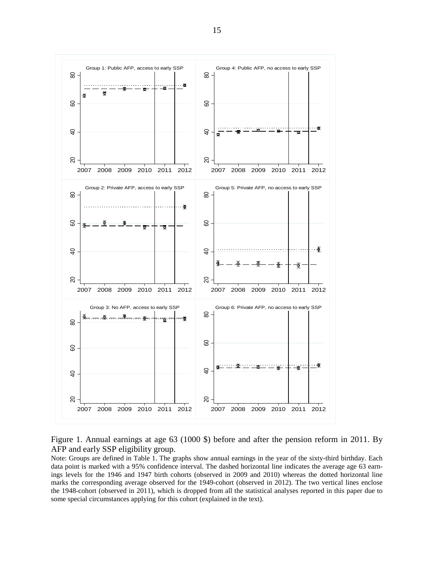

Figure 1. Annual earnings at age 63 (1000 \$) before and after the pension reform in 2011. By AFP and early SSP eligibility group.

Note: Groups are defined in Table 1. The graphs show annual earnings in the year of the sixty-third birthday. Each data point is marked with a 95% confidence interval. The dashed horizontal line indicates the average age 63 earnings levels for the 1946 and 1947 birth cohorts (observed in 2009 and 2010) whereas the dotted horizontal line marks the corresponding average observed for the 1949-cohort (observed in 2012). The two vertical lines enclose the 1948-cohort (observed in 2011), which is dropped from all the statistical analyses reported in this paper due to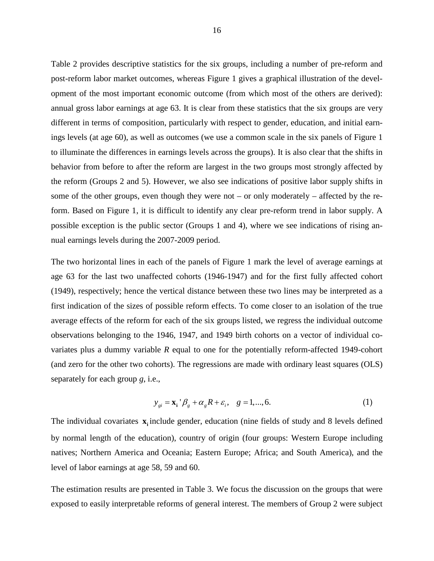Table 2 provides descriptive statistics for the six groups, including a number of pre-reform and post-reform labor market outcomes, whereas Figure 1 gives a graphical illustration of the development of the most important economic outcome (from which most of the others are derived): annual gross labor earnings at age 63. It is clear from these statistics that the six groups are very different in terms of composition, particularly with respect to gender, education, and initial earnings levels (at age 60), as well as outcomes (we use a common scale in the six panels of Figure 1 to illuminate the differences in earnings levels across the groups). It is also clear that the shifts in behavior from before to after the reform are largest in the two groups most strongly affected by the reform (Groups 2 and 5). However, we also see indications of positive labor supply shifts in some of the other groups, even though they were not – or only moderately – affected by the reform. Based on Figure 1, it is difficult to identify any clear pre-reform trend in labor supply. A possible exception is the public sector (Groups 1 and 4), where we see indications of rising annual earnings levels during the 2007-2009 period.

The two horizontal lines in each of the panels of Figure 1 mark the level of average earnings at age 63 for the last two unaffected cohorts (1946-1947) and for the first fully affected cohort (1949), respectively; hence the vertical distance between these two lines may be interpreted as a first indication of the sizes of possible reform effects. To come closer to an isolation of the true average effects of the reform for each of the six groups listed, we regress the individual outcome observations belonging to the 1946, 1947, and 1949 birth cohorts on a vector of individual covariates plus a dummy variable *R* equal to one for the potentially reform-affected 1949-cohort (and zero for the other two cohorts). The regressions are made with ordinary least squares (OLS) separately for each group *g*, i.e.,

$$
y_{gi} = \mathbf{x}_i^{\top} \boldsymbol{\beta}_g + \boldsymbol{\alpha}_g \boldsymbol{R} + \boldsymbol{\varepsilon}_i, \quad g = 1, \dots, 6. \tag{1}
$$

The individual covariates **x** include gender, education (nine fields of study and 8 levels defined by normal length of the education), country of origin (four groups: Western Europe including natives; Northern America and Oceania; Eastern Europe; Africa; and South America), and the level of labor earnings at age 58, 59 and 60.

The estimation results are presented in Table 3. We focus the discussion on the groups that were exposed to easily interpretable reforms of general interest. The members of Group 2 were subject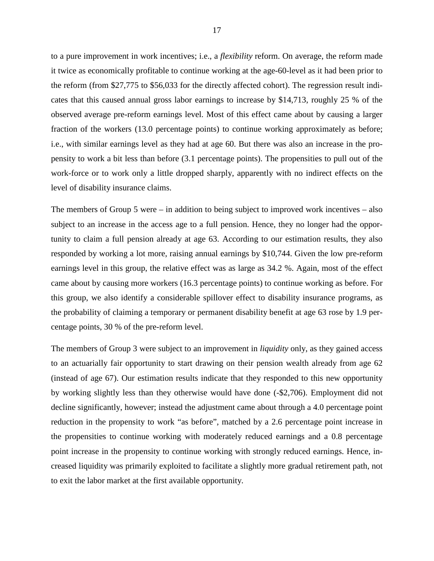to a pure improvement in work incentives; i.e., a *flexibility* reform. On average, the reform made it twice as economically profitable to continue working at the age-60-level as it had been prior to the reform (from \$27,775 to \$56,033 for the directly affected cohort). The regression result indicates that this caused annual gross labor earnings to increase by \$14,713, roughly 25 % of the observed average pre-reform earnings level. Most of this effect came about by causing a larger fraction of the workers (13.0 percentage points) to continue working approximately as before; i.e., with similar earnings level as they had at age 60. But there was also an increase in the propensity to work a bit less than before (3.1 percentage points). The propensities to pull out of the work-force or to work only a little dropped sharply, apparently with no indirect effects on the level of disability insurance claims.

The members of Group 5 were – in addition to being subject to improved work incentives – also subject to an increase in the access age to a full pension. Hence, they no longer had the opportunity to claim a full pension already at age 63. According to our estimation results, they also responded by working a lot more, raising annual earnings by \$10,744. Given the low pre-reform earnings level in this group, the relative effect was as large as 34.2 %. Again, most of the effect came about by causing more workers (16.3 percentage points) to continue working as before. For this group, we also identify a considerable spillover effect to disability insurance programs, as the probability of claiming a temporary or permanent disability benefit at age 63 rose by 1.9 percentage points, 30 % of the pre-reform level.

The members of Group 3 were subject to an improvement in *liquidity* only, as they gained access to an actuarially fair opportunity to start drawing on their pension wealth already from age 62 (instead of age 67). Our estimation results indicate that they responded to this new opportunity by working slightly less than they otherwise would have done (-\$2,706). Employment did not decline significantly, however; instead the adjustment came about through a 4.0 percentage point reduction in the propensity to work "as before", matched by a 2.6 percentage point increase in the propensities to continue working with moderately reduced earnings and a 0.8 percentage point increase in the propensity to continue working with strongly reduced earnings. Hence, increased liquidity was primarily exploited to facilitate a slightly more gradual retirement path, not to exit the labor market at the first available opportunity.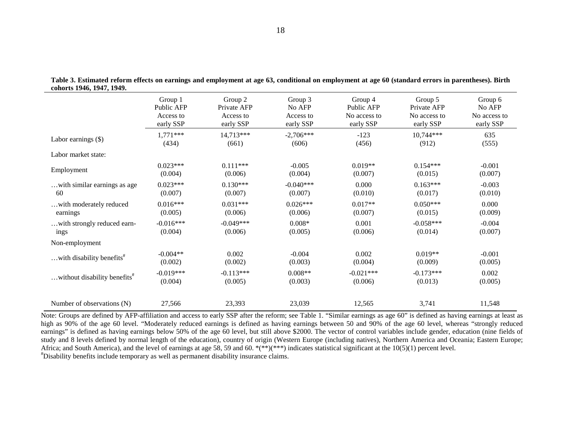|                                          | Group 1     | Group 2     | Group 3     | Group 4      | Group 5      | Group 6      |
|------------------------------------------|-------------|-------------|-------------|--------------|--------------|--------------|
|                                          | Public AFP  | Private AFP | No AFP      | Public AFP   | Private AFP  | No AFP       |
|                                          | Access to   | Access to   | Access to   | No access to | No access to | No access to |
|                                          | early SSP   | early SSP   | early SSP   | early SSP    | early SSP    | early SSP    |
| Labor earnings $(\$)$                    | $1,771***$  | 14,713***   | $-2,706***$ | $-123$       | $10,744***$  | 635          |
|                                          | (434)       | (661)       | (606)       | (456)        | (912)        | (555)        |
| Labor market state:                      |             |             |             |              |              |              |
| Employment                               | $0.023***$  | $0.111***$  | $-0.005$    | $0.019**$    | $0.154***$   | $-0.001$     |
|                                          | (0.004)     | (0.006)     | (0.004)     | (0.007)      | (0.015)      | (0.007)      |
| with similar earnings as age             | $0.023***$  | $0.130***$  | $-0.040***$ | 0.000        | $0.163***$   | $-0.003$     |
| 60                                       | (0.007)     | (0.007)     | (0.007)     | (0.010)      | (0.017)      | (0.010)      |
| with moderately reduced                  | $0.016***$  | $0.031***$  | $0.026***$  | $0.017**$    | $0.050***$   | 0.000        |
| earnings                                 | (0.005)     | (0.006)     | (0.006)     | (0.007)      | (0.015)      | (0.009)      |
| with strongly reduced earn-              | $-0.016***$ | $-0.049***$ | $0.008*$    | 0.001        | $-0.058***$  | $-0.004$     |
| ings                                     | (0.004)     | (0.006)     | (0.005)     | (0.006)      | (0.014)      | (0.007)      |
| Non-employment                           |             |             |             |              |              |              |
| with disability benefits <sup>#</sup>    | $-0.004**$  | 0.002       | $-0.004$    | 0.002        | $0.019**$    | $-0.001$     |
|                                          | (0.002)     | (0.002)     | (0.003)     | (0.004)      | (0.009)      | (0.005)      |
| without disability benefits <sup>#</sup> | $-0.019***$ | $-0.113***$ | $0.008**$   | $-0.021***$  | $-0.173***$  | 0.002        |
|                                          | (0.004)     | (0.005)     | (0.003)     | (0.006)      | (0.013)      | (0.005)      |
| Number of observations (N)               | 27,566      | 23,393      | 23,039      | 12,565       | 3,741        | 11,548       |

**Table 3. Estimated reform effects on earnings and employment at age 63, conditional on employment at age 60 (standard errors in parentheses). Birth cohorts 1946, 1947, 1949.**

Note: Groups are defined by AFP-affiliation and access to early SSP after the reform; see Table 1. "Similar earnings as age 60" is defined as having earnings at least as high as 90% of the age 60 level. "Moderately reduced earnings is defined as having earnings between 50 and 90% of the age 60 level, whereas "strongly reduced earnings" is defined as having earnings below 50% of the age 60 level, but still above \$2000. The vector of control variables include gender, education (nine fields of study and 8 levels defined by normal length of the education), country of origin (Western Europe (including natives), Northern America and Oceania; Eastern Europe; Africa; and South America), and the level of earnings at age 58, 59 and 60. \*(\*\*)(\*\*\*) indicates statistical significant at the  $10(5)(1)$  percent level. Disability benefits include temporary as well as permanent disability insurance claims.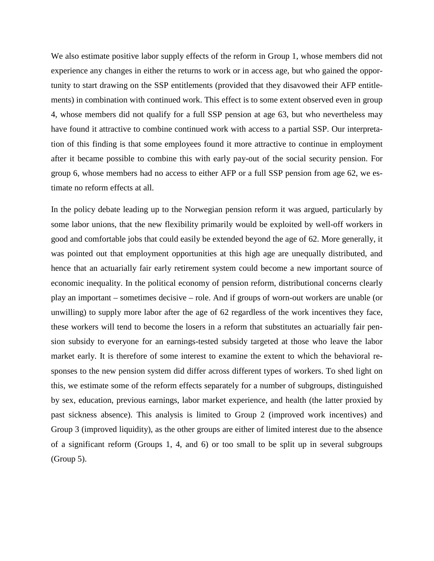We also estimate positive labor supply effects of the reform in Group 1, whose members did not experience any changes in either the returns to work or in access age, but who gained the opportunity to start drawing on the SSP entitlements (provided that they disavowed their AFP entitlements) in combination with continued work. This effect is to some extent observed even in group 4, whose members did not qualify for a full SSP pension at age 63, but who nevertheless may have found it attractive to combine continued work with access to a partial SSP. Our interpretation of this finding is that some employees found it more attractive to continue in employment after it became possible to combine this with early pay-out of the social security pension. For group 6, whose members had no access to either AFP or a full SSP pension from age 62, we estimate no reform effects at all.

In the policy debate leading up to the Norwegian pension reform it was argued, particularly by some labor unions, that the new flexibility primarily would be exploited by well-off workers in good and comfortable jobs that could easily be extended beyond the age of 62. More generally, it was pointed out that employment opportunities at this high age are unequally distributed, and hence that an actuarially fair early retirement system could become a new important source of economic inequality. In the political economy of pension reform, distributional concerns clearly play an important – sometimes decisive – role. And if groups of worn-out workers are unable (or unwilling) to supply more labor after the age of 62 regardless of the work incentives they face, these workers will tend to become the losers in a reform that substitutes an actuarially fair pension subsidy to everyone for an earnings-tested subsidy targeted at those who leave the labor market early. It is therefore of some interest to examine the extent to which the behavioral responses to the new pension system did differ across different types of workers. To shed light on this, we estimate some of the reform effects separately for a number of subgroups, distinguished by sex, education, previous earnings, labor market experience, and health (the latter proxied by past sickness absence). This analysis is limited to Group 2 (improved work incentives) and Group 3 (improved liquidity), as the other groups are either of limited interest due to the absence of a significant reform (Groups 1, 4, and 6) or too small to be split up in several subgroups (Group 5).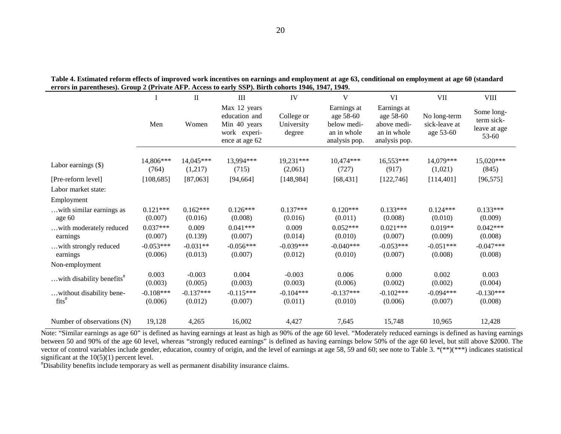|                                                | I                      | $\rm II$               | III                                                                             | IV                                 | V                                                                       | VI                                                                      | <b>VII</b>                                 | <b>VIII</b>                                       |
|------------------------------------------------|------------------------|------------------------|---------------------------------------------------------------------------------|------------------------------------|-------------------------------------------------------------------------|-------------------------------------------------------------------------|--------------------------------------------|---------------------------------------------------|
|                                                | Men                    | Women                  | Max 12 years<br>education and<br>Min 40 years<br>work experi-<br>ence at age 62 | College or<br>University<br>degree | Earnings at<br>age 58-60<br>below medi-<br>an in whole<br>analysis pop. | Earnings at<br>age 58-60<br>above medi-<br>an in whole<br>analysis pop. | No long-term<br>sick-leave at<br>age 53-60 | Some long-<br>term sick-<br>leave at age<br>53-60 |
|                                                |                        |                        |                                                                                 |                                    |                                                                         |                                                                         |                                            |                                                   |
| Labor earnings $(\$)$                          | 14,806***<br>(764)     | 14,045***<br>(1,217)   | 13,994***<br>(715)                                                              | 19,231***<br>(2,061)               | $10,474***$<br>(727)                                                    | 16,553***<br>(917)                                                      | 14,079***<br>(1,021)                       | 15,020***<br>(845)                                |
| [Pre-reform level]                             | [108, 685]             | [87,063]               | [94, 664]                                                                       | [148, 984]                         | [68, 431]                                                               | [122, 746]                                                              | [114, 401]                                 | [96, 575]                                         |
| Labor market state:                            |                        |                        |                                                                                 |                                    |                                                                         |                                                                         |                                            |                                                   |
| Employment                                     |                        |                        |                                                                                 |                                    |                                                                         |                                                                         |                                            |                                                   |
| with similar earnings as<br>age 60             | $0.121***$<br>(0.007)  | $0.162***$<br>(0.016)  | $0.126***$<br>(0.008)                                                           | $0.137***$<br>(0.016)              | $0.120***$<br>(0.011)                                                   | $0.133***$<br>(0.008)                                                   | $0.124***$<br>(0.010)                      | $0.133***$<br>(0.009)                             |
| with moderately reduced<br>earnings            | $0.037***$<br>(0.007)  | 0.009<br>(0.139)       | $0.041***$<br>(0.007)                                                           | 0.009<br>(0.014)                   | $0.052***$<br>(0.010)                                                   | $0.021***$<br>(0.007)                                                   | $0.019**$<br>(0.009)                       | $0.042***$<br>(0.008)                             |
| with strongly reduced<br>earnings              | $-0.053***$<br>(0.006) | $-0.031**$<br>(0.013)  | $-0.056***$<br>(0.007)                                                          | $-0.039***$<br>(0.012)             | $-0.040***$<br>(0.010)                                                  | $-0.053***$<br>(0.007)                                                  | $-0.051***$<br>(0.008)                     | $-0.047***$<br>(0.008)                            |
| Non-employment                                 |                        |                        |                                                                                 |                                    |                                                                         |                                                                         |                                            |                                                   |
| with disability benefits <sup>#</sup>          | 0.003<br>(0.003)       | $-0.003$<br>(0.005)    | 0.004<br>(0.003)                                                                | $-0.003$<br>(0.003)                | 0.006<br>(0.006)                                                        | 0.000<br>(0.002)                                                        | 0.002<br>(0.002)                           | 0.003<br>(0.004)                                  |
| without disability bene-<br>$\text{fits}^{\#}$ | $-0.108***$<br>(0.006) | $-0.137***$<br>(0.012) | $-0.115***$<br>(0.007)                                                          | $-0.104***$<br>(0.011)             | $-0.137***$<br>(0.010)                                                  | $-0.102***$<br>(0.006)                                                  | $-0.094***$<br>(0.007)                     | $-0.130***$<br>(0.008)                            |
| Number of observations (N)                     | 19,128                 | 4,265                  | 16,002                                                                          | 4,427                              | 7,645                                                                   | 15,748                                                                  | 10,965                                     | 12,428                                            |

**Table 4. Estimated reform effects of improved work incentives on earnings and employment at age 63, conditional on employment at age 60 (standard errors in parentheses). Group 2 (Private AFP. Access to early SSP). Birth cohorts 1946, 1947, 1949.**

Note: "Similar earnings as age 60" is defined as having earnings at least as high as 90% of the age 60 level. "Moderately reduced earnings is defined as having earnings between 50 and 90% of the age 60 level, whereas "strongly reduced earnings" is defined as having earnings below 50% of the age 60 level, but still above \$2000. The vector of control variables include gender, education, country of origin, and the level of earnings at age 58, 59 and 60; see note to Table 3. \*(\*\*)(\*\*\*) indicates statistical significant at the  $10(5)(1)$  percent level.

Disability benefits include temporary as well as permanent disability insurance claims.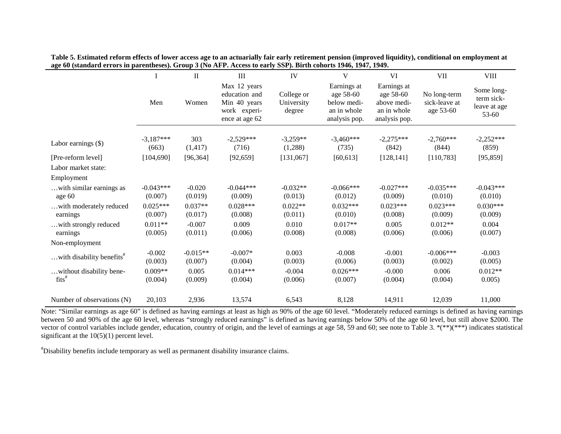|                                                |                        | $\mathbf{I}$          | III                                                                             | IV                                 | V                                                                       | VI                                                                      | <b>VII</b>                                 | <b>VIII</b>                                       |
|------------------------------------------------|------------------------|-----------------------|---------------------------------------------------------------------------------|------------------------------------|-------------------------------------------------------------------------|-------------------------------------------------------------------------|--------------------------------------------|---------------------------------------------------|
|                                                | Men                    | Women                 | Max 12 years<br>education and<br>Min 40 years<br>work experi-<br>ence at age 62 | College or<br>University<br>degree | Earnings at<br>age 58-60<br>below medi-<br>an in whole<br>analysis pop. | Earnings at<br>age 58-60<br>above medi-<br>an in whole<br>analysis pop. | No long-term<br>sick-leave at<br>age 53-60 | Some long-<br>term sick-<br>leave at age<br>53-60 |
|                                                |                        |                       |                                                                                 |                                    |                                                                         |                                                                         |                                            |                                                   |
| Labor earnings $(\$)$                          | $-3,187***$<br>(663)   | 303<br>(1, 417)       | $-2,529***$<br>(716)                                                            | $-3,259**$<br>(1,288)              | $-3,460***$<br>(735)                                                    | $-2,275***$<br>(842)                                                    | $-2,760***$<br>(844)                       | $-2,252***$<br>(859)                              |
| [Pre-reform level]                             | [104, 690]             | [96, 364]             | [92, 659]                                                                       | [131,067]                          | [60, 613]                                                               | [128, 141]                                                              | [110, 783]                                 | [95, 859]                                         |
| Labor market state:                            |                        |                       |                                                                                 |                                    |                                                                         |                                                                         |                                            |                                                   |
| Employment                                     |                        |                       |                                                                                 |                                    |                                                                         |                                                                         |                                            |                                                   |
| with similar earnings as<br>age 60             | $-0.043***$<br>(0.007) | $-0.020$<br>(0.019)   | $-0.044***$<br>(0.009)                                                          | $-0.032**$<br>(0.013)              | $-0.066***$<br>(0.012)                                                  | $-0.027***$<br>(0.009)                                                  | $-0.035***$<br>(0.010)                     | $-0.043***$<br>(0.010)                            |
| with moderately reduced<br>earnings            | $0.025***$<br>(0.007)  | $0.037**$<br>(0.017)  | $0.028***$<br>(0.008)                                                           | $0.022**$<br>(0.011)               | $0.032***$<br>(0.010)                                                   | $0.023***$<br>(0.008)                                                   | $0.023***$<br>(0.009)                      | $0.030***$<br>(0.009)                             |
| with strongly reduced<br>earnings              | $0.011**$<br>(0.005)   | $-0.007$<br>(0.011)   | 0.009<br>(0.006)                                                                | 0.010<br>(0.008)                   | $0.017**$<br>(0.008)                                                    | 0.005<br>(0.006)                                                        | $0.012**$<br>(0.006)                       | 0.004<br>(0.007)                                  |
| Non-employment                                 |                        |                       |                                                                                 |                                    |                                                                         |                                                                         |                                            |                                                   |
| with disability benefits <sup>#</sup>          | $-0.002$<br>(0.003)    | $-0.015**$<br>(0.007) | $-0.007*$<br>(0.004)                                                            | 0.003<br>(0.003)                   | $-0.008$<br>(0.006)                                                     | $-0.001$<br>(0.003)                                                     | $-0.006***$<br>(0.002)                     | $-0.003$<br>(0.005)                               |
| without disability bene-<br>$\text{fits}^{\#}$ | $0.009**$<br>(0.004)   | 0.005<br>(0.009)      | $0.014***$<br>(0.004)                                                           | $-0.004$<br>(0.006)                | $0.026***$<br>(0.007)                                                   | $-0.000$<br>(0.004)                                                     | 0.006<br>(0.004)                           | $0.012**$<br>0.005)                               |
| Number of observations (N)                     | 20,103                 | 2,936                 | 13,574                                                                          | 6,543                              | 8,128                                                                   | 14,911                                                                  | 12,039                                     | 11,000                                            |

**Table 5. Estimated reform effects of lower access age to an actuarially fair early retirement pension (improved liquidity), conditional on employment at age 60 (standard errors in parentheses). Group 3 (No AFP. Access to early SSP). Birth cohorts 1946, 1947, 1949.**

Note: "Similar earnings as age 60" is defined as having earnings at least as high as 90% of the age 60 level. "Moderately reduced earnings is defined as having earnings between 50 and 90% of the age 60 level, whereas "strongly reduced earnings" is defined as having earnings below 50% of the age 60 level, but still above \$2000. The vector of control variables include gender, education, country of origin, and the level of earnings at age 58, 59 and 60; see note to Table 3. \*(\*\*)(\*\*\*) indicates statistical significant at the  $10(5)(1)$  percent level.

# Disability benefits include temporary as well as permanent disability insurance claims.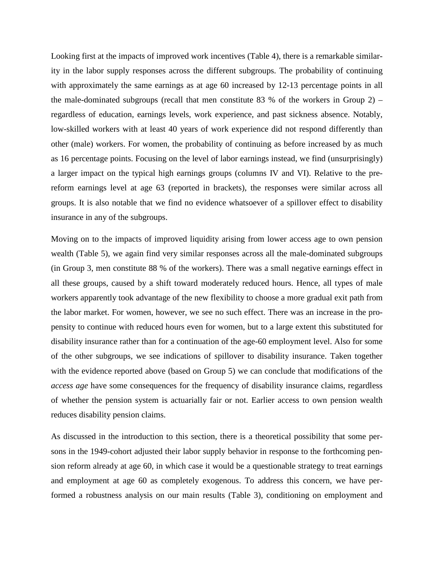Looking first at the impacts of improved work incentives (Table 4), there is a remarkable similarity in the labor supply responses across the different subgroups. The probability of continuing with approximately the same earnings as at age 60 increased by 12-13 percentage points in all the male-dominated subgroups (recall that men constitute 83 % of the workers in Group 2) – regardless of education, earnings levels, work experience, and past sickness absence. Notably, low-skilled workers with at least 40 years of work experience did not respond differently than other (male) workers. For women, the probability of continuing as before increased by as much as 16 percentage points. Focusing on the level of labor earnings instead, we find (unsurprisingly) a larger impact on the typical high earnings groups (columns IV and VI). Relative to the prereform earnings level at age 63 (reported in brackets), the responses were similar across all groups. It is also notable that we find no evidence whatsoever of a spillover effect to disability insurance in any of the subgroups.

Moving on to the impacts of improved liquidity arising from lower access age to own pension wealth (Table 5), we again find very similar responses across all the male-dominated subgroups (in Group 3, men constitute 88 % of the workers). There was a small negative earnings effect in all these groups, caused by a shift toward moderately reduced hours. Hence, all types of male workers apparently took advantage of the new flexibility to choose a more gradual exit path from the labor market. For women, however, we see no such effect. There was an increase in the propensity to continue with reduced hours even for women, but to a large extent this substituted for disability insurance rather than for a continuation of the age-60 employment level. Also for some of the other subgroups, we see indications of spillover to disability insurance. Taken together with the evidence reported above (based on Group 5) we can conclude that modifications of the *access age* have some consequences for the frequency of disability insurance claims, regardless of whether the pension system is actuarially fair or not. Earlier access to own pension wealth reduces disability pension claims.

As discussed in the introduction to this section, there is a theoretical possibility that some persons in the 1949-cohort adjusted their labor supply behavior in response to the forthcoming pension reform already at age 60, in which case it would be a questionable strategy to treat earnings and employment at age 60 as completely exogenous. To address this concern, we have performed a robustness analysis on our main results (Table 3), conditioning on employment and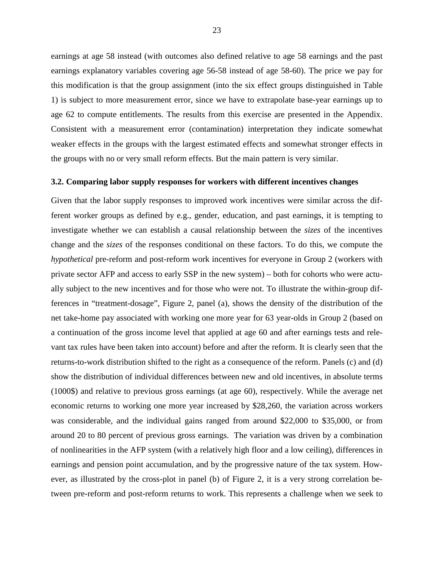earnings at age 58 instead (with outcomes also defined relative to age 58 earnings and the past earnings explanatory variables covering age 56-58 instead of age 58-60). The price we pay for this modification is that the group assignment (into the six effect groups distinguished in Table 1) is subject to more measurement error, since we have to extrapolate base-year earnings up to age 62 to compute entitlements. The results from this exercise are presented in the Appendix. Consistent with a measurement error (contamination) interpretation they indicate somewhat weaker effects in the groups with the largest estimated effects and somewhat stronger effects in the groups with no or very small reform effects. But the main pattern is very similar.

#### **3.2. Comparing labor supply responses for workers with different incentives changes**

Given that the labor supply responses to improved work incentives were similar across the different worker groups as defined by e.g., gender, education, and past earnings, it is tempting to investigate whether we can establish a causal relationship between the *sizes* of the incentives change and the *sizes* of the responses conditional on these factors. To do this, we compute the *hypothetical* pre-reform and post-reform work incentives for everyone in Group 2 (workers with private sector AFP and access to early SSP in the new system) – both for cohorts who were actually subject to the new incentives and for those who were not. To illustrate the within-group differences in "treatment-dosage", Figure 2, panel (a), shows the density of the distribution of the net take-home pay associated with working one more year for 63 year-olds in Group 2 (based on a continuation of the gross income level that applied at age 60 and after earnings tests and relevant tax rules have been taken into account) before and after the reform. It is clearly seen that the returns-to-work distribution shifted to the right as a consequence of the reform. Panels (c) and (d) show the distribution of individual differences between new and old incentives, in absolute terms (1000\$) and relative to previous gross earnings (at age 60), respectively. While the average net economic returns to working one more year increased by \$28,260, the variation across workers was considerable, and the individual gains ranged from around \$22,000 to \$35,000, or from around 20 to 80 percent of previous gross earnings. The variation was driven by a combination of nonlinearities in the AFP system (with a relatively high floor and a low ceiling), differences in earnings and pension point accumulation, and by the progressive nature of the tax system. However, as illustrated by the cross-plot in panel (b) of Figure 2, it is a very strong correlation between pre-reform and post-reform returns to work. This represents a challenge when we seek to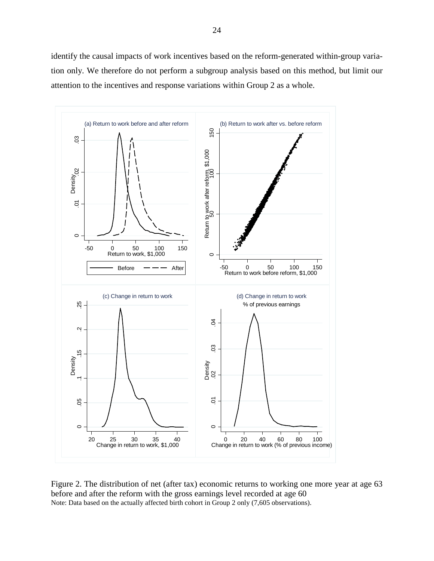identify the causal impacts of work incentives based on the reform-generated within-group variation only. We therefore do not perform a subgroup analysis based on this method, but limit our attention to the incentives and response variations within Group 2 as a whole.



Figure 2. The distribution of net (after tax) economic returns to working one more year at age 63 before and after the reform with the gross earnings level recorded at age 60 Note: Data based on the actually affected birth cohort in Group 2 only (7,605 observations).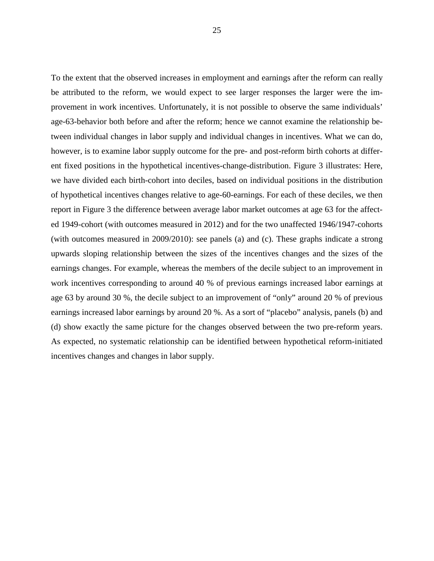To the extent that the observed increases in employment and earnings after the reform can really be attributed to the reform, we would expect to see larger responses the larger were the improvement in work incentives. Unfortunately, it is not possible to observe the same individuals' age-63-behavior both before and after the reform; hence we cannot examine the relationship between individual changes in labor supply and individual changes in incentives. What we can do, however, is to examine labor supply outcome for the pre- and post-reform birth cohorts at different fixed positions in the hypothetical incentives-change-distribution. Figure 3 illustrates: Here, we have divided each birth-cohort into deciles, based on individual positions in the distribution of hypothetical incentives changes relative to age-60-earnings. For each of these deciles, we then report in Figure 3 the difference between average labor market outcomes at age 63 for the affected 1949-cohort (with outcomes measured in 2012) and for the two unaffected 1946/1947-cohorts (with outcomes measured in 2009/2010): see panels (a) and (c). These graphs indicate a strong upwards sloping relationship between the sizes of the incentives changes and the sizes of the earnings changes. For example, whereas the members of the decile subject to an improvement in work incentives corresponding to around 40 % of previous earnings increased labor earnings at age 63 by around 30 %, the decile subject to an improvement of "only" around 20 % of previous earnings increased labor earnings by around 20 %. As a sort of "placebo" analysis, panels (b) and (d) show exactly the same picture for the changes observed between the two pre-reform years. As expected, no systematic relationship can be identified between hypothetical reform-initiated incentives changes and changes in labor supply.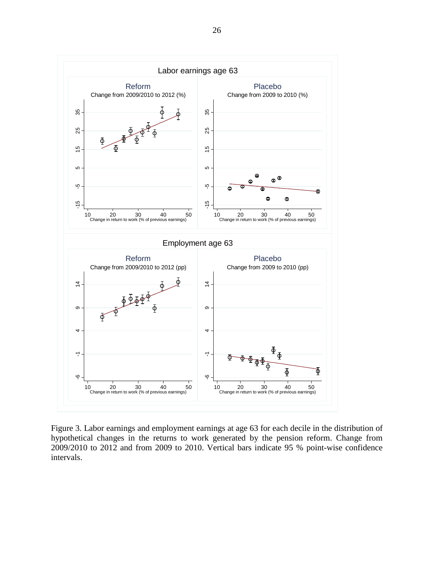

Figure 3. Labor earnings and employment earnings at age 63 for each decile in the distribution of hypothetical changes in the returns to work generated by the pension reform. Change from 2009/2010 to 2012 and from 2009 to 2010. Vertical bars indicate 95 % point-wise confidence intervals.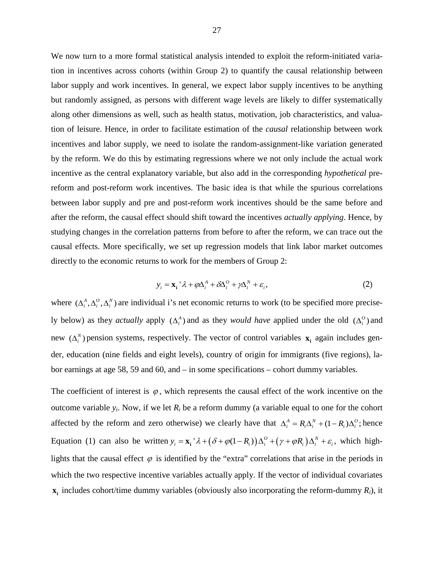We now turn to a more formal statistical analysis intended to exploit the reform-initiated variation in incentives across cohorts (within Group 2) to quantify the causal relationship between labor supply and work incentives. In general, we expect labor supply incentives to be anything but randomly assigned, as persons with different wage levels are likely to differ systematically along other dimensions as well, such as health status, motivation, job characteristics, and valuation of leisure. Hence, in order to facilitate estimation of the *causal* relationship between work incentives and labor supply, we need to isolate the random-assignment-like variation generated by the reform. We do this by estimating regressions where we not only include the actual work incentive as the central explanatory variable, but also add in the corresponding *hypothetical* prereform and post-reform work incentives. The basic idea is that while the spurious correlations between labor supply and pre and post-reform work incentives should be the same before and after the reform, the causal effect should shift toward the incentives *actually applying*. Hence, by studying changes in the correlation patterns from before to after the reform, we can trace out the causal effects. More specifically, we set up regression models that link labor market outcomes directly to the economic returns to work for the members of Group 2:

$$
y_i = \mathbf{x}_i \, ^\prime \lambda + q \Delta_i^A + \delta \Delta_i^O + \gamma \Delta_i^N + \varepsilon_i, \tag{2}
$$

where  $(\Delta_i^A, \Delta_i^O, \Delta_i^N)$  are individual i's net economic returns to work (to be specified more precisely below) as they *actually* apply  $(\Delta_i^A)$  and as they *would have* applied under the old  $(\Delta_i^O)$  and new  $(\Delta_i^N)$  pension systems, respectively. The vector of control variables  $\mathbf{x}_i$  again includes gender, education (nine fields and eight levels), country of origin for immigrants (five regions), labor earnings at age 58, 59 and 60, and – in some specifications – cohort dummy variables.

The coefficient of interest is  $\varphi$ , which represents the causal effect of the work incentive on the outcome variable  $y_i$ . Now, if we let  $R_i$  be a reform dummy (a variable equal to one for the cohort affected by the reform and zero otherwise) we clearly have that  $\Delta_i^A = R_i \Delta_i^N + (1 - R_i) \Delta_i^O$ ; hence Equation (1) can also be written  $y_i = \mathbf{x}_i^T \lambda + (\delta + \varphi(1 - R_i)) \Delta_i^O + (\gamma + \varphi R_i) \Delta_i^N + \varepsilon_i$ , which highlights that the causal effect  $\varphi$  is identified by the "extra" correlations that arise in the periods in which the two respective incentive variables actually apply. If the vector of individual covariates  $\mathbf{x}_i$  includes cohort/time dummy variables (obviously also incorporating the reform-dummy  $R_i$ ), it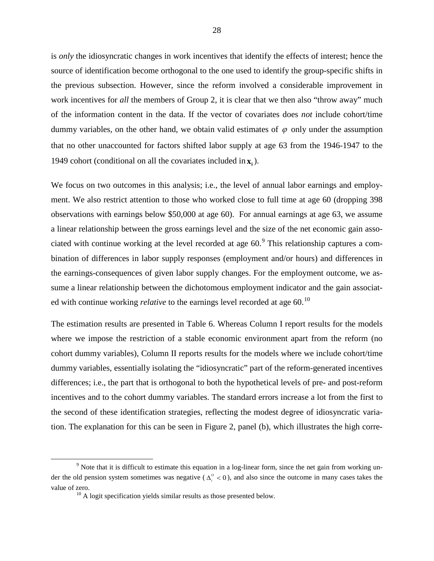is *only* the idiosyncratic changes in work incentives that identify the effects of interest; hence the source of identification become orthogonal to the one used to identify the group-specific shifts in the previous subsection. However, since the reform involved a considerable improvement in work incentives for *all* the members of Group 2, it is clear that we then also "throw away" much of the information content in the data. If the vector of covariates does *not* include cohort/time dummy variables, on the other hand, we obtain valid estimates of  $\varphi$  only under the assumption that no other unaccounted for factors shifted labor supply at age 63 from the 1946-1947 to the 1949 cohort (conditional on all the covariates included in  $\mathbf{x}$ .).

We focus on two outcomes in this analysis; i.e., the level of annual labor earnings and employment. We also restrict attention to those who worked close to full time at age 60 (dropping 398 observations with earnings below \$50,000 at age 60). For annual earnings at age 63, we assume a linear relationship between the gross earnings level and the size of the net economic gain associated with continue working at the level recorded at age  $60<sup>9</sup>$  $60<sup>9</sup>$  $60<sup>9</sup>$ . This relationship captures a combination of differences in labor supply responses (employment and/or hours) and differences in the earnings-consequences of given labor supply changes. For the employment outcome, we assume a linear relationship between the dichotomous employment indicator and the gain associated with continue working *relative* to the earnings level recorded at age 60.[10](#page-29-0)

The estimation results are presented in Table 6. Whereas Column I report results for the models where we impose the restriction of a stable economic environment apart from the reform (no cohort dummy variables), Column II reports results for the models where we include cohort/time dummy variables, essentially isolating the "idiosyncratic" part of the reform-generated incentives differences; i.e., the part that is orthogonal to both the hypothetical levels of pre- and post-reform incentives and to the cohort dummy variables. The standard errors increase a lot from the first to the second of these identification strategies, reflecting the modest degree of idiosyncratic variation. The explanation for this can be seen in Figure 2, panel (b), which illustrates the high corre-

<span id="page-29-0"></span><sup>&</sup>lt;sup>9</sup> Note that it is difficult to estimate this equation in a log-linear form, since the net gain from working under the old pension system sometimes was negative ( $\Delta_i^o < 0$ ), and also since the outcome in many cases takes the value of zero.  $10^{\text{10}}$  A logit specification yields similar results as those presented below.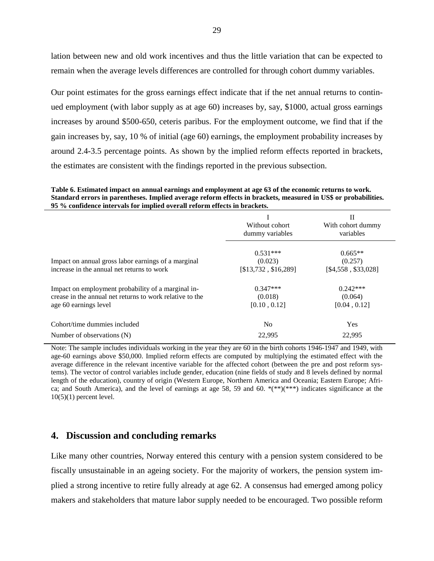lation between new and old work incentives and thus the little variation that can be expected to remain when the average levels differences are controlled for through cohort dummy variables.

Our point estimates for the gross earnings effect indicate that if the net annual returns to continued employment (with labor supply as at age 60) increases by, say, \$1000, actual gross earnings increases by around \$500-650, ceteris paribus. For the employment outcome, we find that if the gain increases by, say, 10 % of initial (age 60) earnings, the employment probability increases by around 2.4-3.5 percentage points. As shown by the implied reform effects reported in brackets, the estimates are consistent with the findings reported in the previous subsection.

**Table 6. Estimated impact on annual earnings and employment at age 63 of the economic returns to work. Standard errors in parentheses. Implied average reform effects in brackets, measured in US\$ or probabilities. 95 % confidence intervals for implied overall reform effects in brackets.**

|                                                                                                                                         | Without cohort<br>dummy variables             | П<br>With cohort dummy<br>variables         |
|-----------------------------------------------------------------------------------------------------------------------------------------|-----------------------------------------------|---------------------------------------------|
| Impact on annual gross labor earnings of a marginal<br>increase in the annual net returns to work                                       | $0.531***$<br>(0.023)<br>[\$13,732, \$16,289] | $0.665**$<br>(0.257)<br>[\$4,558, \$33,028] |
| Impact on employment probability of a marginal in-<br>crease in the annual net returns to work relative to the<br>age 60 earnings level | $0.347***$<br>(0.018)<br>[0.10, 0.12]         | $0.242***$<br>(0.064)<br>[0.04, 0.12]       |
| Cohort/time dummies included                                                                                                            | N <sub>0</sub>                                | Yes                                         |
| Number of observations (N)                                                                                                              | 22.995                                        | 22.995                                      |

Note: The sample includes individuals working in the year they are 60 in the birth cohorts 1946-1947 and 1949, with age-60 earnings above \$50,000. Implied reform effects are computed by multiplying the estimated effect with the average difference in the relevant incentive variable for the affected cohort (between the pre and post reform systems). The vector of control variables include gender, education (nine fields of study and 8 levels defined by normal length of the education), country of origin (Western Europe, Northern America and Oceania; Eastern Europe; Africa; and South America), and the level of earnings at age 58, 59 and 60. \*(\*\*)(\*\*\*) indicates significance at the  $10(5)(1)$  percent level.

## **4. Discussion and concluding remarks**

Like many other countries, Norway entered this century with a pension system considered to be fiscally unsustainable in an ageing society. For the majority of workers, the pension system implied a strong incentive to retire fully already at age 62. A consensus had emerged among policy makers and stakeholders that mature labor supply needed to be encouraged. Two possible reform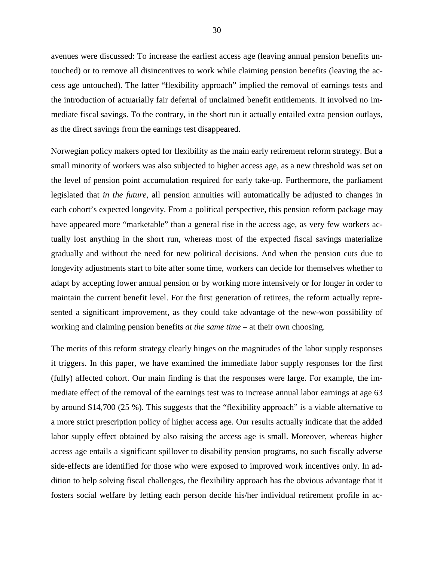avenues were discussed: To increase the earliest access age (leaving annual pension benefits untouched) or to remove all disincentives to work while claiming pension benefits (leaving the access age untouched). The latter "flexibility approach" implied the removal of earnings tests and the introduction of actuarially fair deferral of unclaimed benefit entitlements. It involved no immediate fiscal savings. To the contrary, in the short run it actually entailed extra pension outlays, as the direct savings from the earnings test disappeared.

Norwegian policy makers opted for flexibility as the main early retirement reform strategy. But a small minority of workers was also subjected to higher access age, as a new threshold was set on the level of pension point accumulation required for early take-up. Furthermore, the parliament legislated that *in the future*, all pension annuities will automatically be adjusted to changes in each cohort's expected longevity. From a political perspective, this pension reform package may have appeared more "marketable" than a general rise in the access age, as very few workers actually lost anything in the short run, whereas most of the expected fiscal savings materialize gradually and without the need for new political decisions. And when the pension cuts due to longevity adjustments start to bite after some time, workers can decide for themselves whether to adapt by accepting lower annual pension or by working more intensively or for longer in order to maintain the current benefit level. For the first generation of retirees, the reform actually represented a significant improvement, as they could take advantage of the new-won possibility of working and claiming pension benefits *at the same time* – at their own choosing.

The merits of this reform strategy clearly hinges on the magnitudes of the labor supply responses it triggers. In this paper, we have examined the immediate labor supply responses for the first (fully) affected cohort. Our main finding is that the responses were large. For example, the immediate effect of the removal of the earnings test was to increase annual labor earnings at age 63 by around \$14,700 (25 %). This suggests that the "flexibility approach" is a viable alternative to a more strict prescription policy of higher access age. Our results actually indicate that the added labor supply effect obtained by also raising the access age is small. Moreover, whereas higher access age entails a significant spillover to disability pension programs, no such fiscally adverse side-effects are identified for those who were exposed to improved work incentives only. In addition to help solving fiscal challenges, the flexibility approach has the obvious advantage that it fosters social welfare by letting each person decide his/her individual retirement profile in ac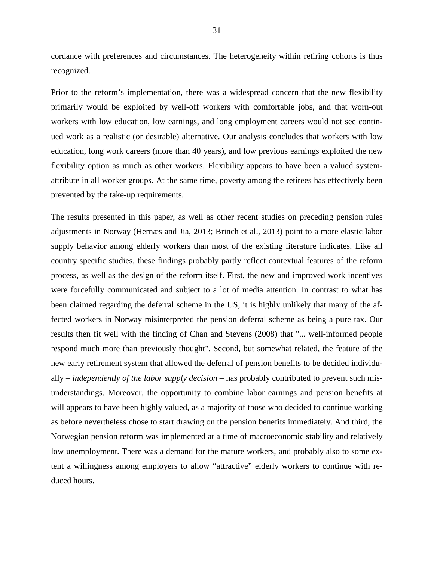cordance with preferences and circumstances. The heterogeneity within retiring cohorts is thus recognized.

Prior to the reform's implementation, there was a widespread concern that the new flexibility primarily would be exploited by well-off workers with comfortable jobs, and that worn-out workers with low education, low earnings, and long employment careers would not see continued work as a realistic (or desirable) alternative. Our analysis concludes that workers with low education, long work careers (more than 40 years), and low previous earnings exploited the new flexibility option as much as other workers. Flexibility appears to have been a valued systemattribute in all worker groups. At the same time, poverty among the retirees has effectively been prevented by the take-up requirements.

The results presented in this paper, as well as other recent studies on preceding pension rules adjustments in Norway (Hernæs and Jia, 2013; Brinch et al., 2013) point to a more elastic labor supply behavior among elderly workers than most of the existing literature indicates. Like all country specific studies, these findings probably partly reflect contextual features of the reform process, as well as the design of the reform itself. First, the new and improved work incentives were forcefully communicated and subject to a lot of media attention. In contrast to what has been claimed regarding the deferral scheme in the US, it is highly unlikely that many of the affected workers in Norway misinterpreted the pension deferral scheme as being a pure tax. Our results then fit well with the finding of Chan and Stevens (2008) that "... well-informed people respond much more than previously thought". Second, but somewhat related, the feature of the new early retirement system that allowed the deferral of pension benefits to be decided individually *– independently of the labor supply decision* – has probably contributed to prevent such misunderstandings. Moreover, the opportunity to combine labor earnings and pension benefits at will appears to have been highly valued, as a majority of those who decided to continue working as before nevertheless chose to start drawing on the pension benefits immediately. And third, the Norwegian pension reform was implemented at a time of macroeconomic stability and relatively low unemployment. There was a demand for the mature workers, and probably also to some extent a willingness among employers to allow "attractive" elderly workers to continue with reduced hours.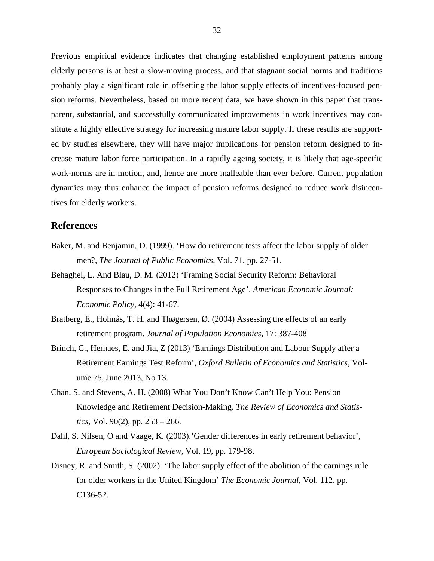Previous empirical evidence indicates that changing established employment patterns among elderly persons is at best a slow-moving process, and that stagnant social norms and traditions probably play a significant role in offsetting the labor supply effects of incentives-focused pension reforms. Nevertheless, based on more recent data, we have shown in this paper that transparent, substantial, and successfully communicated improvements in work incentives may constitute a highly effective strategy for increasing mature labor supply. If these results are supported by studies elsewhere, they will have major implications for pension reform designed to increase mature labor force participation. In a rapidly ageing society, it is likely that age-specific work-norms are in motion, and, hence are more malleable than ever before. Current population dynamics may thus enhance the impact of pension reforms designed to reduce work disincentives for elderly workers.

## **References**

- Baker, M. and Benjamin, D. (1999). 'How do retirement tests affect the labor supply of older men?, *The Journal of Public Economics*, Vol. 71, pp. 27-51.
- Behaghel, L. And Blau, D. M. (2012) 'Framing Social Security Reform: Behavioral Responses to Changes in the Full Retirement Age'. *American Economic Journal: Economic Policy*, 4(4): 41-67.
- Bratberg, E., Holmås, T. H. and Thøgersen, Ø. (2004) Assessing the effects of an early retirement program. *Journal of Population Economics*, 17: 387-408
- Brinch, C., Hernaes, E. and Jia, Z (2013) 'Earnings Distribution and Labour Supply after a Retirement Earnings Test Reform', *Oxford Bulletin of Economics and Statistics*, Volume 75, June 2013, No 13.
- Chan, S. and Stevens, A. H. (2008) What You Don't Know Can't Help You: Pension Knowledge and Retirement Decision-Making. *The Review of Economics and Statistics*, Vol. 90(2), pp. 253 – 266.
- Dahl, S. Nilsen, O and Vaage, K. (2003).'Gender differences in early retirement behavior', *European Sociological Review*, Vol. 19, pp. 179-98.
- Disney, R. and Smith, S. (2002). 'The labor supply effect of the abolition of the earnings rule for older workers in the United Kingdom' *The Economic Journal*, Vol. 112, pp. C136-52.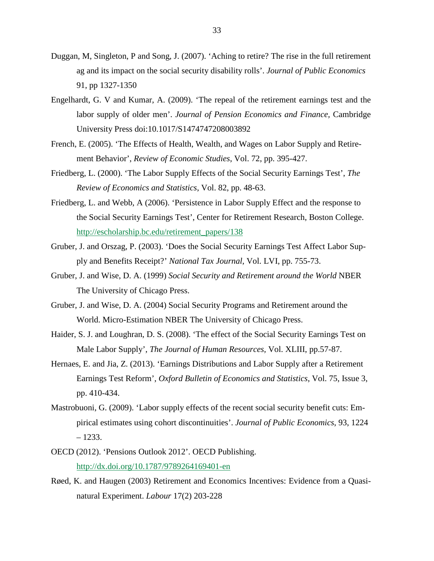- Duggan, M, Singleton, P and Song, J. (2007). 'Aching to retire? The rise in the full retirement ag and its impact on the social security disability rolls'. *Journal of Public Economics* 91, pp 1327-1350
- Engelhardt, G. V and Kumar, A. (2009). 'The repeal of the retirement earnings test and the labor supply of older men'. *Journal of Pension Economics and Finance,* Cambridge University Press doi:10.1017/S1474747208003892
- French, E. (2005). 'The Effects of Health, Wealth, and Wages on Labor Supply and Retirement Behavior', *Review of Economic Studies*, Vol. 72, pp. 395-427.
- Friedberg, L. (2000). 'The Labor Supply Effects of the Social Security Earnings Test', *The Review of Economics and Statistics*, Vol. 82, pp. 48-63.
- Friedberg, L. and Webb, A (2006). 'Persistence in Labor Supply Effect and the response to the Social Security Earnings Test', Center for Retirement Research, Boston College. [http://escholarship.bc.edu/retirement\\_papers/138](http://escholarship.bc.edu/retirement_papers/138)
- Gruber, J. and Orszag, P. (2003). 'Does the Social Security Earnings Test Affect Labor Supply and Benefits Receipt?' *National Tax Journal*, Vol. LVI, pp. 755-73.
- Gruber, J. and Wise, D. A. (1999) *Social Security and Retirement around the World* NBER The University of Chicago Press.
- Gruber, J. and Wise, D. A. (2004) Social Security Programs and Retirement around the World. Micro-Estimation NBER The University of Chicago Press.
- Haider, S. J. and Loughran, D. S. (2008). 'The effect of the Social Security Earnings Test on Male Labor Supply', *The Journal of Human Resources,* Vol. XLIII, pp.57-87.
- Hernaes, E. and Jia, Z. (2013). 'Earnings Distributions and Labor Supply after a Retirement Earnings Test Reform', *Oxford Bulletin of Economics and Statistics*, Vol. 75, Issue 3, pp. 410-434.
- Mastrobuoni, G. (2009). 'Labor supply effects of the recent social security benefit cuts: Empirical estimates using cohort discontinuities'. *Journal of Public Economics*, 93, 1224  $-1233.$
- OECD (2012). 'Pensions Outlook 2012'. OECD Publishing. <http://dx.doi.org/10.1787/9789264169401-en>
- Røed, K. and Haugen (2003) Retirement and Economics Incentives: Evidence from a Quasinatural Experiment. *Labour* 17(2) 203-228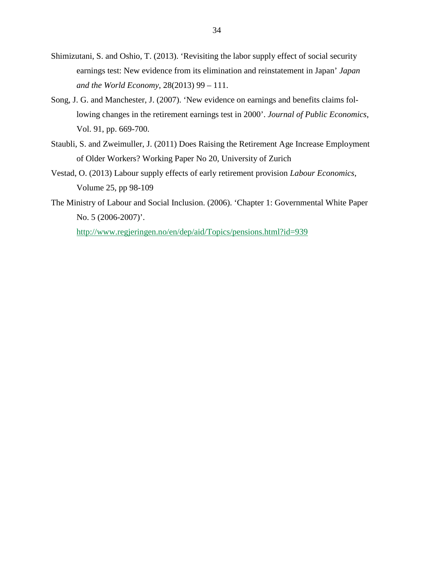- Shimizutani, S. and Oshio, T. (2013). 'Revisiting the labor supply effect of social security earnings test: New evidence from its elimination and reinstatement in Japan' *Japan and the World Economy*, 28(2013) 99 – 111.
- Song, J. G. and Manchester, J. (2007). 'New evidence on earnings and benefits claims following changes in the retirement earnings test in 2000'. *Journal of Public Economics*, Vol. 91, pp. 669-700.
- Staubli, S. and Zweimuller, J. (2011) Does Raising the Retirement Age Increase Employment of Older Workers? Working Paper No 20, University of Zurich
- Vestad, O. (2013) Labour supply effects of early retirement provision *Labour Economics*, Volume 25, pp 98-109
- The Ministry of Labour and Social Inclusion. (2006). 'Chapter 1: Governmental White Paper No. 5 (2006-2007)'.

<http://www.regjeringen.no/en/dep/aid/Topics/pensions.html?id=939>